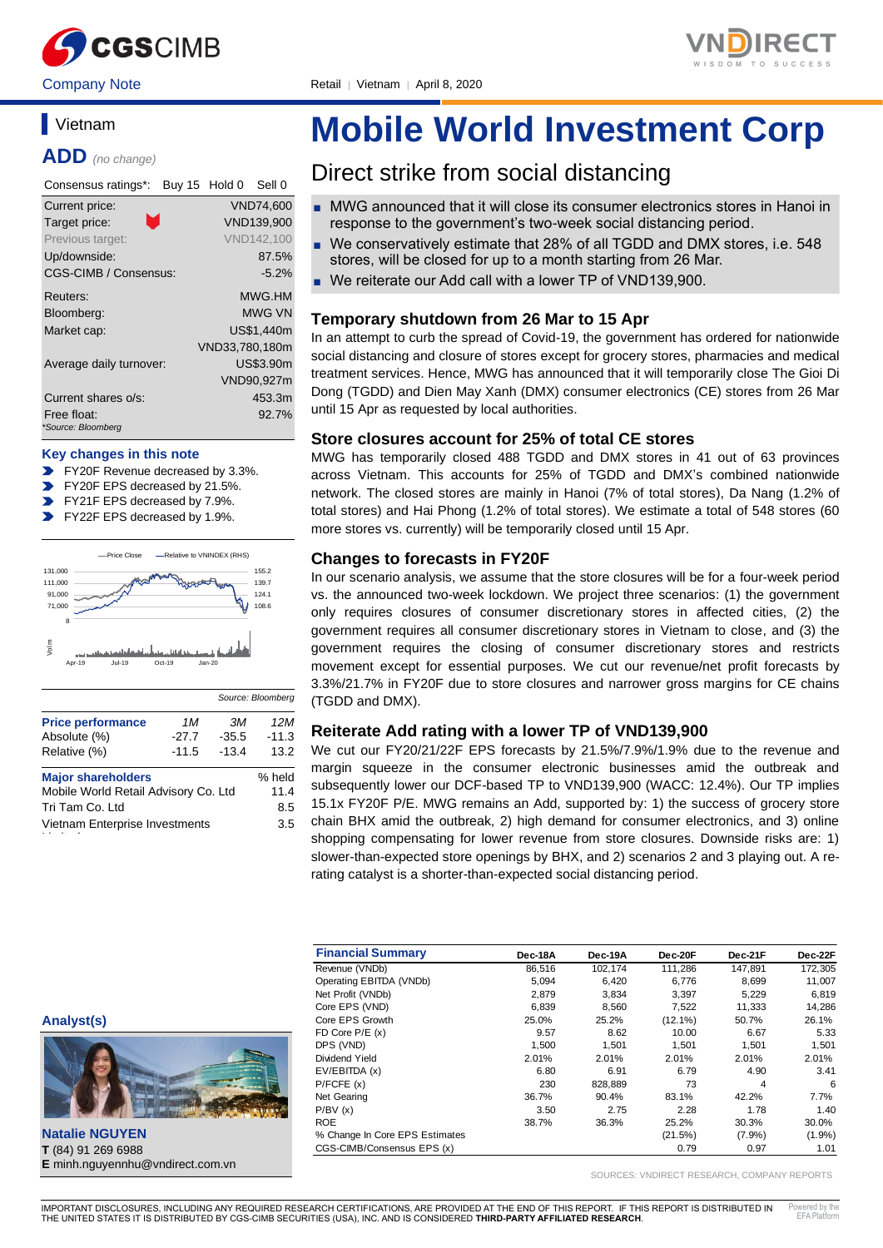



# **Vietnam**

**ADD** *(no change)*

| Consensus ratings*:     | Buy 15 Hold 0<br>Sell 0 |
|-------------------------|-------------------------|
| Current price:          | <b>VND74,600</b>        |
| Τ.<br>Target price:     | VND139.900              |
| Previous target:        | VND142.100              |
| Up/downside:            | 87.5%                   |
| CGS-CIMB / Consensus:   | $-5.2\%$                |
| Reuters:                | MWG.HM                  |
| Bloomberg:              | <b>MWG VN</b>           |
| Market cap:             | US\$1.440m              |
|                         | VND33,780,180m          |
| Average daily turnover: | US\$3.90m               |
|                         | VND90,927m              |
| Current shares o/s:     | 453.3m                  |
| Free float:             | 92.7%                   |
| *Source: Bloomberg      |                         |

#### **Key changes in this note**

- FY20F Revenue decreased by 3.3%.
- FY20F EPS decreased by 21.5%.
- $\overline{\phantom{a}}$ FY21F EPS decreased by 7.9%.
- $\blacksquare$ FY22F EPS decreased by 1.9%.



|                                      |         |         | <u> survei siecinomų</u> |
|--------------------------------------|---------|---------|--------------------------|
| <b>Price performance</b>             | 1M      | ЗM      | 12M                      |
| Absolute (%)                         | $-27.7$ | $-35.5$ | $-11.3$                  |
| Relative (%)                         | $-11.5$ | $-13.4$ | 13.2                     |
| <b>Major shareholders</b>            | % held  |         |                          |
| Mobile World Retail Advisory Co. Ltd |         |         | 11.4                     |
| Tri Tam Co. Ltd                      |         |         | 8.5                      |
| Vietnam Enterprise Investments       | 3.5     |         |                          |

# **Mobile World Investment Corp**

# Direct strike from social distancing

- MWG announced that it will close its consumer electronics stores in Hanoi in response to the government's two-week social distancing period.
- We conservatively estimate that 28% of all TGDD and DMX stores, i.e. 548 stores, will be closed for up to a month starting from 26 Mar.
- We reiterate our Add call with a lower TP of VND139,900.

#### **Temporary shutdown from 26 Mar to 15 Apr**

In an attempt to curb the spread of Covid-19, the government has ordered for nationwide social distancing and closure of stores except for grocery stores, pharmacies and medical treatment services. Hence, MWG has announced that it will temporarily close The Gioi Di Dong (TGDD) and Dien May Xanh (DMX) consumer electronics (CE) stores from 26 Mar until 15 Apr as requested by local authorities.

#### **Store closures account for 25% of total CE stores**

MWG has temporarily closed 488 TGDD and DMX stores in 41 out of 63 provinces across Vietnam. This accounts for 25% of TGDD and DMX's combined nationwide network. The closed stores are mainly in Hanoi (7% of total stores), Da Nang (1.2% of total stores) and Hai Phong (1.2% of total stores). We estimate a total of 548 stores (60 more stores vs. currently) will be temporarily closed until 15 Apr.

#### **Changes to forecasts in FY20F**

In our scenario analysis, we assume that the store closures will be for a four-week period vs. the announced two-week lockdown. We project three scenarios: (1) the government only requires closures of consumer discretionary stores in affected cities, (2) the government requires all consumer discretionary stores in Vietnam to close, and (3) the government requires the closing of consumer discretionary stores and restricts movement except for essential purposes. We cut our revenue/net profit forecasts by 3.3%/21.7% in FY20F due to store closures and narrower gross margins for CE chains (TGDD and DMX).

#### **Reiterate Add rating with a lower TP of VND139,900**

We cut our FY20/21/22F EPS forecasts by 21.5%/7.9%/1.9% due to the revenue and margin squeeze in the consumer electronic businesses amid the outbreak and subsequently lower our DCF-based TP to VND139,900 (WACC: 12.4%). Our TP implies 15.1x FY20F P/E. MWG remains an Add, supported by: 1) the success of grocery store chain BHX amid the outbreak, 2) high demand for consumer electronics, and 3) online shopping compensating for lower revenue from store closures. Downside risks are: 1) slower-than-expected store openings by BHX, and 2) scenarios 2 and 3 playing out. A rerating catalyst is a shorter-than-expected social distancing period.

| <b>Financial Summary</b>       | Dec-18A | Dec-19A | Dec-20F    | Dec-21F | Dec-22F   |
|--------------------------------|---------|---------|------------|---------|-----------|
| Revenue (VNDb)                 | 86,516  | 102,174 | 111,286    | 147.891 | 172,305   |
| Operating EBITDA (VNDb)        | 5,094   | 6,420   | 6,776      | 8,699   | 11,007    |
| Net Profit (VNDb)              | 2.879   | 3,834   | 3.397      | 5,229   | 6,819     |
| Core EPS (VND)                 | 6,839   | 8,560   | 7,522      | 11,333  | 14,286    |
| Core EPS Growth                | 25.0%   | 25.2%   | $(12.1\%)$ | 50.7%   | 26.1%     |
| FD Core $P/E(x)$               | 9.57    | 8.62    | 10.00      | 6.67    | 5.33      |
| DPS (VND)                      | 1,500   | 1.501   | 1.501      | 1.501   | 1,501     |
| Dividend Yield                 | 2.01%   | 2.01%   | 2.01%      | 2.01%   | 2.01%     |
| EV/EBITDA (x)                  | 6.80    | 6.91    | 6.79       | 4.90    | 3.41      |
| P/FCFE(x)                      | 230     | 828.889 | 73         | 4       | 6         |
| Net Gearing                    | 36.7%   | 90.4%   | 83.1%      | 42.2%   | 7.7%      |
| P/BV(x)                        | 3.50    | 2.75    | 2.28       | 1.78    | 1.40      |
| <b>ROE</b>                     | 38.7%   | 36.3%   | 25.2%      | 30.3%   | 30.0%     |
| % Change In Core EPS Estimates |         |         | (21.5%)    | (7.9%)  | $(1.9\%)$ |
| CGS-CIMB/Consensus EPS (x)     |         |         | 0.79       | 0.97    | 1.01      |

SOURCES: VNDIRECT RESEARCH, COMPANY REPORTS

**Natalie NGUYEN T** (84) 91 269 6988 **E** minh.nguyennhu@vndirect.com.vn

**Analyst(s)**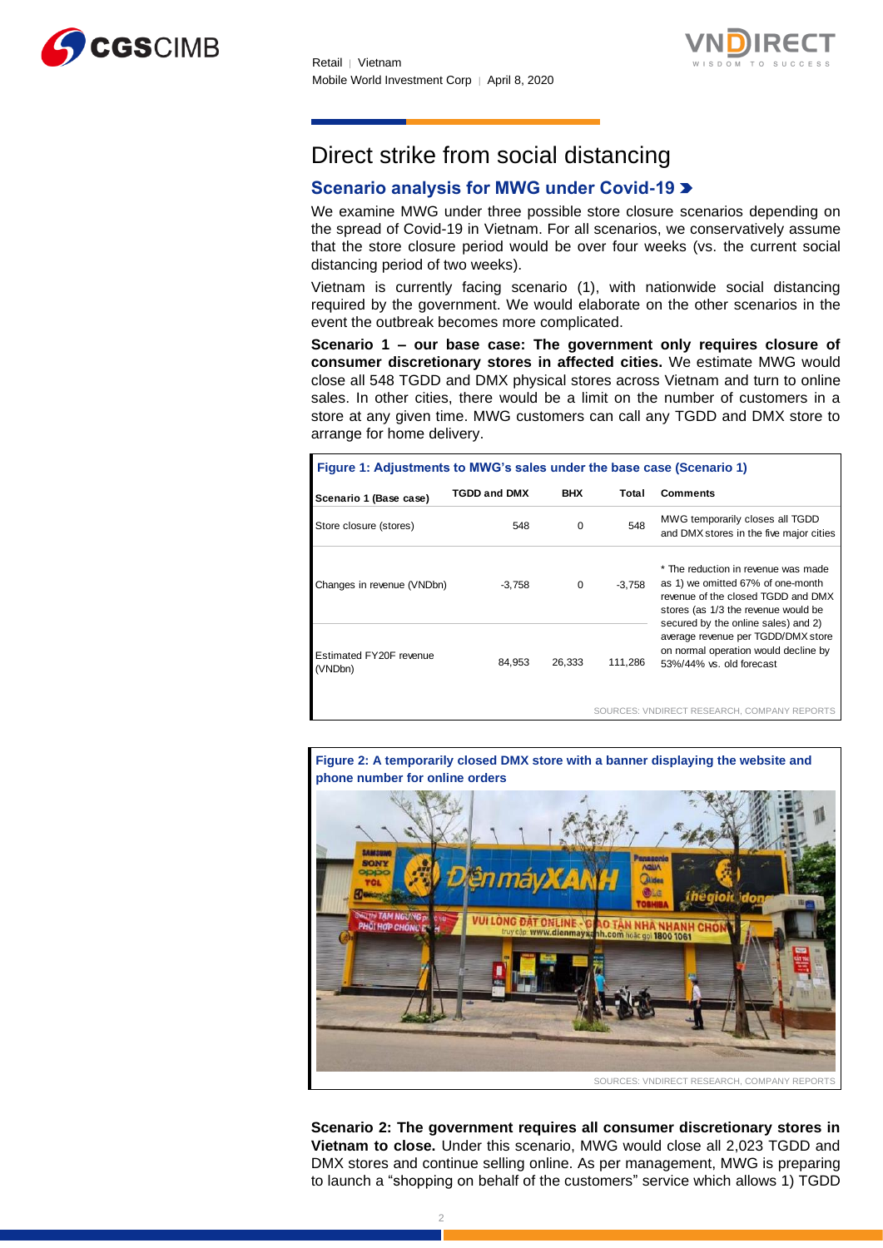



# Direct strike from social distancing

# **Scenario analysis for MWG under Covid-19**

We examine MWG under three possible store closure scenarios depending on the spread of Covid-19 in Vietnam. For all scenarios, we conservatively assume that the store closure period would be over four weeks (vs. the current social distancing period of two weeks).

Vietnam is currently facing scenario (1), with nationwide social distancing required by the government. We would elaborate on the other scenarios in the event the outbreak becomes more complicated.

**Scenario 1 – our base case: The government only requires closure of consumer discretionary stores in affected cities.** We estimate MWG would close all 548 TGDD and DMX physical stores across Vietnam and turn to online sales. In other cities, there would be a limit on the number of customers in a store at any given time. MWG customers can call any TGDD and DMX store to arrange for home delivery.

| Figure 1: Adjustments to MWG's sales under the base case (Scenario 1) |                     |            |         |                                                                                                                                                       |  |  |  |  |  |  |
|-----------------------------------------------------------------------|---------------------|------------|---------|-------------------------------------------------------------------------------------------------------------------------------------------------------|--|--|--|--|--|--|
| Scenario 1 (Base case)                                                | <b>TGDD and DMX</b> | <b>BHX</b> | Total   | <b>Comments</b>                                                                                                                                       |  |  |  |  |  |  |
| Store closure (stores)                                                | 548                 | 0          | 548     | MWG temporarily closes all TGDD<br>and DMX stores in the five major cities                                                                            |  |  |  |  |  |  |
| Changes in revenue (VNDbn)                                            | $-3.758$            | $\Omega$   | -3.758  | * The reduction in revenue was made<br>as 1) we omitted 67% of one-month<br>revenue of the closed TGDD and DMX<br>stores (as 1/3 the revenue would be |  |  |  |  |  |  |
| Estimated FY20F revenue<br>(VNDbn)                                    | 84.953              | 26,333     | 111,286 | secured by the online sales) and 2)<br>average revenue per TGDD/DMX store<br>on normal operation would decline by<br>53%/44% vs. old forecast         |  |  |  |  |  |  |
|                                                                       |                     |            |         |                                                                                                                                                       |  |  |  |  |  |  |

SOURCES: VNDIRECT RESEARCH, COMPANY REPORTS

**Figure 2: A temporarily closed DMX store with a banner displaying the website and phone number for online orders**



**Scenario 2: The government requires all consumer discretionary stores in Vietnam to close.** Under this scenario, MWG would close all 2,023 TGDD and DMX stores and continue selling online. As per management, MWG is preparing to launch a "shopping on behalf of the customers" service which allows 1) TGDD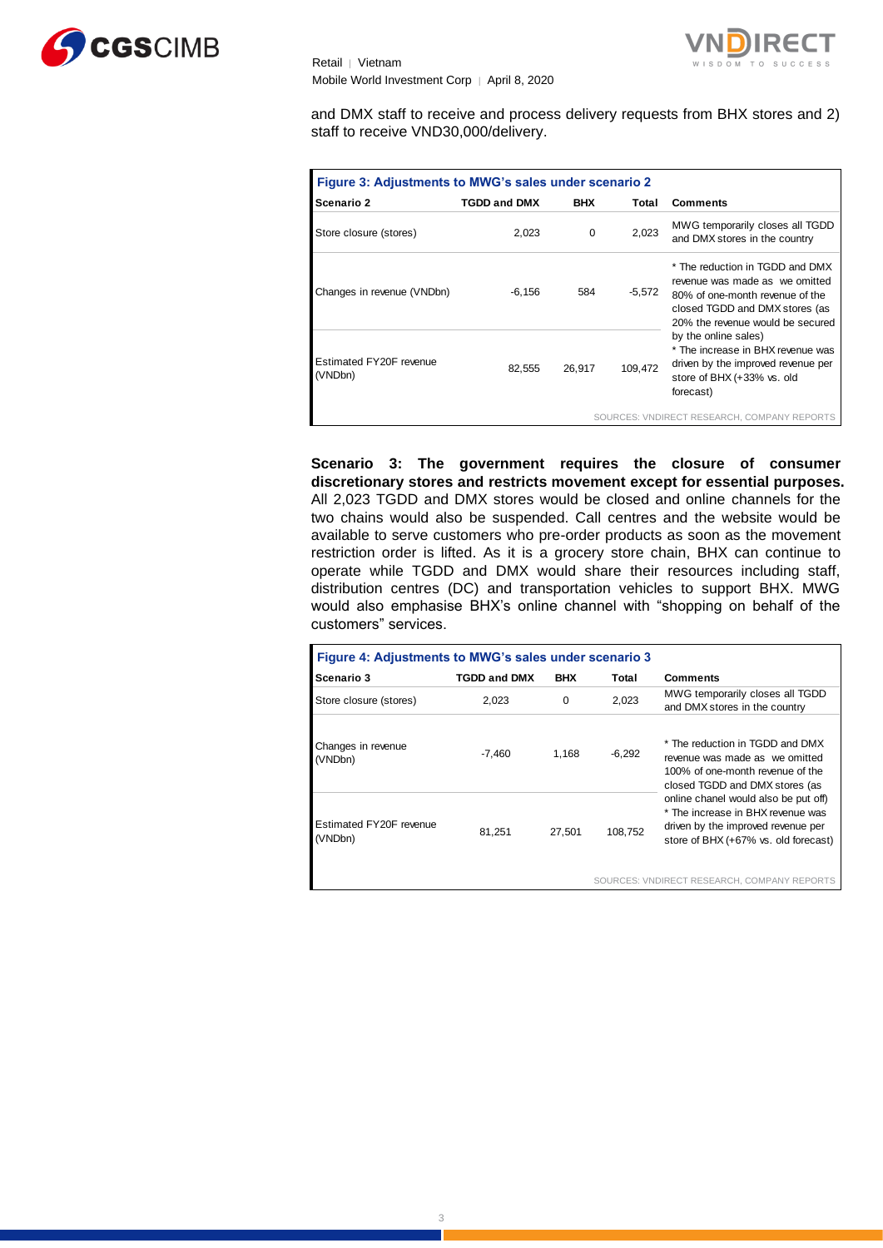



and DMX staff to receive and process delivery requests from BHX stores and 2) staff to receive VND30,000/delivery.

| Figure 3: Adjustments to MWG's sales under scenario 2 |                     |                   |        |                                                                                                                                                                            |  |  |  |  |  |  |
|-------------------------------------------------------|---------------------|-------------------|--------|----------------------------------------------------------------------------------------------------------------------------------------------------------------------------|--|--|--|--|--|--|
| Scenario 2                                            | <b>TGDD and DMX</b> | <b>BHX</b>        | Total  | <b>Comments</b>                                                                                                                                                            |  |  |  |  |  |  |
| Store closure (stores)                                | 2,023               | $\Omega$          | 2,023  | MWG temporarily closes all TGDD<br>and DMX stores in the country                                                                                                           |  |  |  |  |  |  |
| Changes in revenue (VNDbn)                            | $-6,156$            | 584               | -5,572 | * The reduction in TGDD and DMX<br>revenue was made as we omitted<br>80% of one-month revenue of the<br>closed TGDD and DMX stores (as<br>20% the revenue would be secured |  |  |  |  |  |  |
| Estimated FY20F revenue<br>(VNDbn)                    | 82.555              | 109.472<br>26.917 |        | by the online sales)<br>* The increase in BHX revenue was<br>driven by the improved revenue per<br>store of BHX (+33% vs. old<br>forecast)                                 |  |  |  |  |  |  |
|                                                       |                     |                   |        | SOURCES: VNDIRECT RESEARCH, COMPANY REPORTS                                                                                                                                |  |  |  |  |  |  |

**Scenario 3: The government requires the closure of consumer discretionary stores and restricts movement except for essential purposes.**  All 2,023 TGDD and DMX stores would be closed and online channels for the two chains would also be suspended. Call centres and the website would be available to serve customers who pre-order products as soon as the movement restriction order is lifted. As it is a grocery store chain, BHX can continue to operate while TGDD and DMX would share their resources including staff, distribution centres (DC) and transportation vehicles to support BHX. MWG would also emphasise BHX's online channel with "shopping on behalf of the customers" services.

| Figure 4: Adjustments to MWG's sales under scenario 3 |                     |            |          |                                                                                                                                                         |  |  |  |  |  |  |
|-------------------------------------------------------|---------------------|------------|----------|---------------------------------------------------------------------------------------------------------------------------------------------------------|--|--|--|--|--|--|
| Scenario 3                                            | <b>TGDD and DMX</b> | <b>BHX</b> | Total    | <b>Comments</b>                                                                                                                                         |  |  |  |  |  |  |
| Store closure (stores)                                | 2.023               | $\Omega$   | 2.023    | MWG temporarily closes all TGDD<br>and DMX stores in the country                                                                                        |  |  |  |  |  |  |
| Changes in revenue<br>(VNDbn)                         | -7.460              | 1.168      | $-6,292$ | * The reduction in TGDD and DMX<br>revenue was made as we omitted<br>100% of one-month revenue of the<br>closed TGDD and DMX stores (as                 |  |  |  |  |  |  |
| Estimated FY20F revenue<br>(VNDbn)                    | 81.251              | 27.501     | 108.752  | online chanel would also be put off)<br>* The increase in BHX revenue was<br>driven by the improved revenue per<br>store of BHX (+67% vs. old forecast) |  |  |  |  |  |  |
|                                                       |                     |            |          |                                                                                                                                                         |  |  |  |  |  |  |

SOURCES: VNDIRECT RESEARCH, COMPANY REPORTS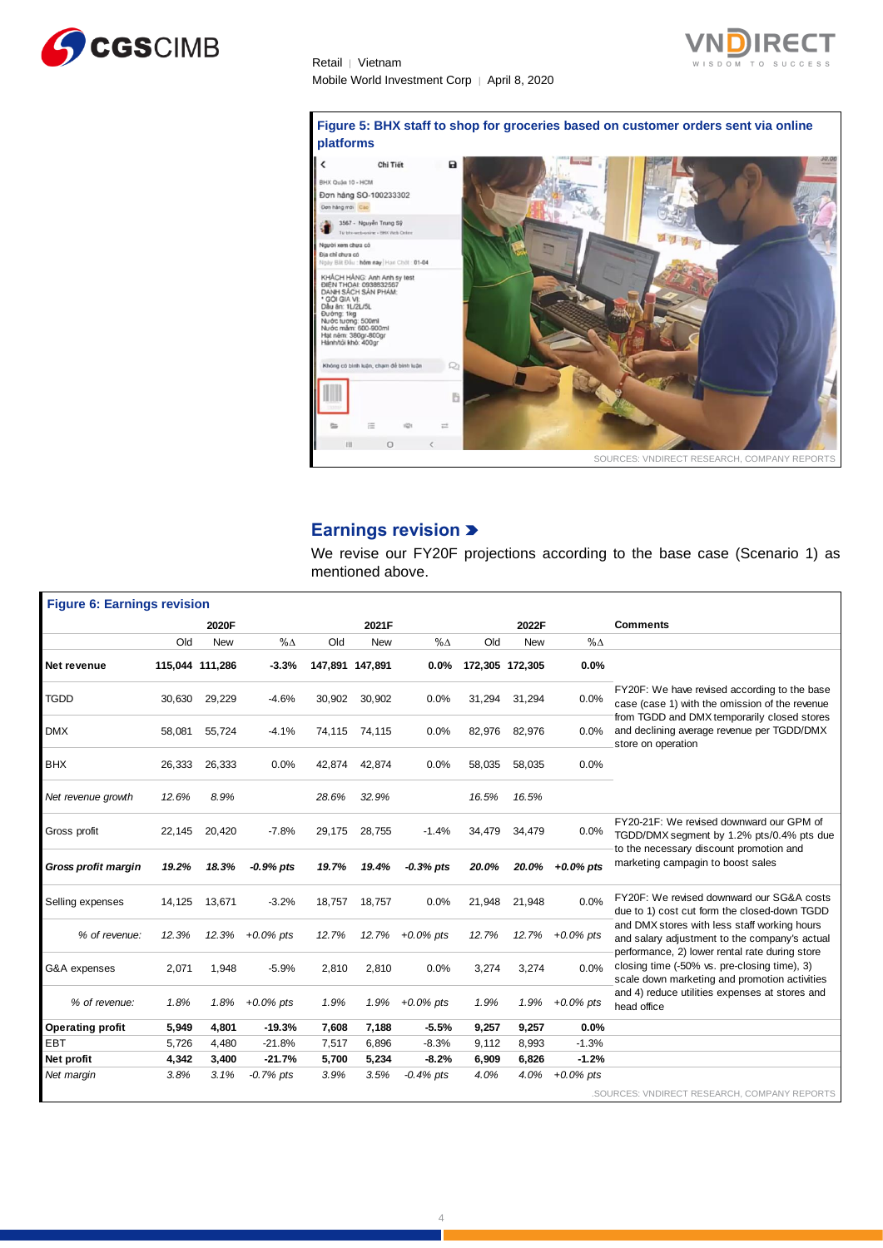

**Figure 5: BHX staff to shop for groceries based on customer orders sent via online platforms**



## **Earnings revision**

We revise our FY20F projections according to the base case (Scenario 1) as mentioned above.

|                                    |        |                 |              |        | mentioned above. |              |        |                 |              |                                                                                                                                                 |
|------------------------------------|--------|-----------------|--------------|--------|------------------|--------------|--------|-----------------|--------------|-------------------------------------------------------------------------------------------------------------------------------------------------|
| <b>Figure 6: Earnings revision</b> |        |                 |              |        |                  |              |        |                 |              |                                                                                                                                                 |
|                                    |        | 2020F           |              |        | 2021F            |              |        | 2022F           |              | Comments                                                                                                                                        |
|                                    | Old    | <b>New</b>      | $% \Delta$   | Old    | <b>New</b>       | $% \Delta$   | Old    | <b>New</b>      | $% \Delta$   |                                                                                                                                                 |
| Net revenue                        |        | 115,044 111,286 | $-3.3%$      |        | 147,891 147,891  | 0.0%         |        | 172,305 172,305 | 0.0%         |                                                                                                                                                 |
| <b>TGDD</b>                        | 30,630 | 29,229          | $-4.6%$      | 30,902 | 30,902           | 0.0%         | 31,294 | 31,294          | 0.0%         | FY20F: We have revised according to the base<br>case (case 1) with the omission of the revenue                                                  |
| <b>DMX</b>                         | 58,081 | 55,724          | $-4.1%$      | 74,115 | 74,115           | 0.0%         | 82,976 | 82,976          | $0.0\%$      | from TGDD and DMX temporarily closed stores<br>and declining average revenue per TGDD/DMX<br>store on operation                                 |
| <b>BHX</b>                         | 26,333 | 26,333          | 0.0%         | 42,874 | 42,874           | 0.0%         | 58,035 | 58,035          | 0.0%         |                                                                                                                                                 |
| Net revenue growth                 | 12.6%  | 8.9%            |              | 28.6%  | 32.9%            |              | 16.5%  | 16.5%           |              |                                                                                                                                                 |
| Gross profit                       | 22,145 | 20,420          | $-7.8%$      | 29,175 | 28,755           | $-1.4%$      | 34,479 | 34,479          | $0.0\%$      | FY20-21F: We revised downward our GPM of<br>TGDD/DMX segment by 1.2% pts/0.4% pts due                                                           |
| <b>Gross profit margin</b>         | 19.2%  | 18.3%           | $-0.9\%$ pts | 19.7%  | 19.4%            | $-0.3%$ pts  | 20.0%  | 20.0%           | $+0.0\%$ pts | to the necessary discount promotion and<br>marketing campagin to boost sales                                                                    |
| Selling expenses                   | 14,125 | 13,671          | $-3.2%$      | 18,757 | 18,757           | 0.0%         | 21,948 | 21,948          | 0.0%         | FY20F: We revised downward our SG&A costs<br>due to 1) cost cut form the closed-down TGDD                                                       |
| % of revenue:                      | 12.3%  | 12.3%           | $+0.0\%$ pts | 12.7%  | 12.7%            | $+0.0\%$ pts | 12.7%  | 12.7%           | $+0.0\%$ pts | and DMX stores with less staff working hours<br>and salary adjustment to the company's actual<br>performance, 2) lower rental rate during store |
| G&A expenses                       | 2,071  | 1,948           | $-5.9%$      | 2,810  | 2,810            | 0.0%         | 3,274  | 3,274           | $0.0\%$      | closing time (-50% vs. pre-closing time), 3)<br>scale down marketing and promotion activities                                                   |
| % of revenue:                      | 1.8%   | 1.8%            | $+0.0\%$ pts | 1.9%   | 1.9%             | $+0.0\%$ pts | 1.9%   | 1.9%            | $+0.0\%$ pts | and 4) reduce utilities expenses at stores and<br>head office                                                                                   |
| <b>Operating profit</b>            | 5,949  | 4,801           | $-19.3%$     | 7,608  | 7,188            | $-5.5%$      | 9,257  | 9,257           | 0.0%         |                                                                                                                                                 |
| <b>EBT</b>                         | 5,726  | 4.480           | $-21.8%$     | 7,517  | 6,896            | $-8.3%$      | 9,112  | 8,993           | $-1.3%$      |                                                                                                                                                 |
| Net profit                         | 4,342  | 3,400           | -21.7%       | 5,700  | 5,234            | $-8.2%$      | 6,909  | 6,826           | $-1.2%$      |                                                                                                                                                 |
| Net margin                         | 3.8%   | 3.1%            | $-0.7%$ pts  | 3.9%   | 3.5%             | $-0.4%$ pts  | 4.0%   | 4.0%            | $+0.0\%$ pts | .SOURCES: VNDIRECT RESEARCH, COMPANY REPORTS                                                                                                    |

 $\Delta$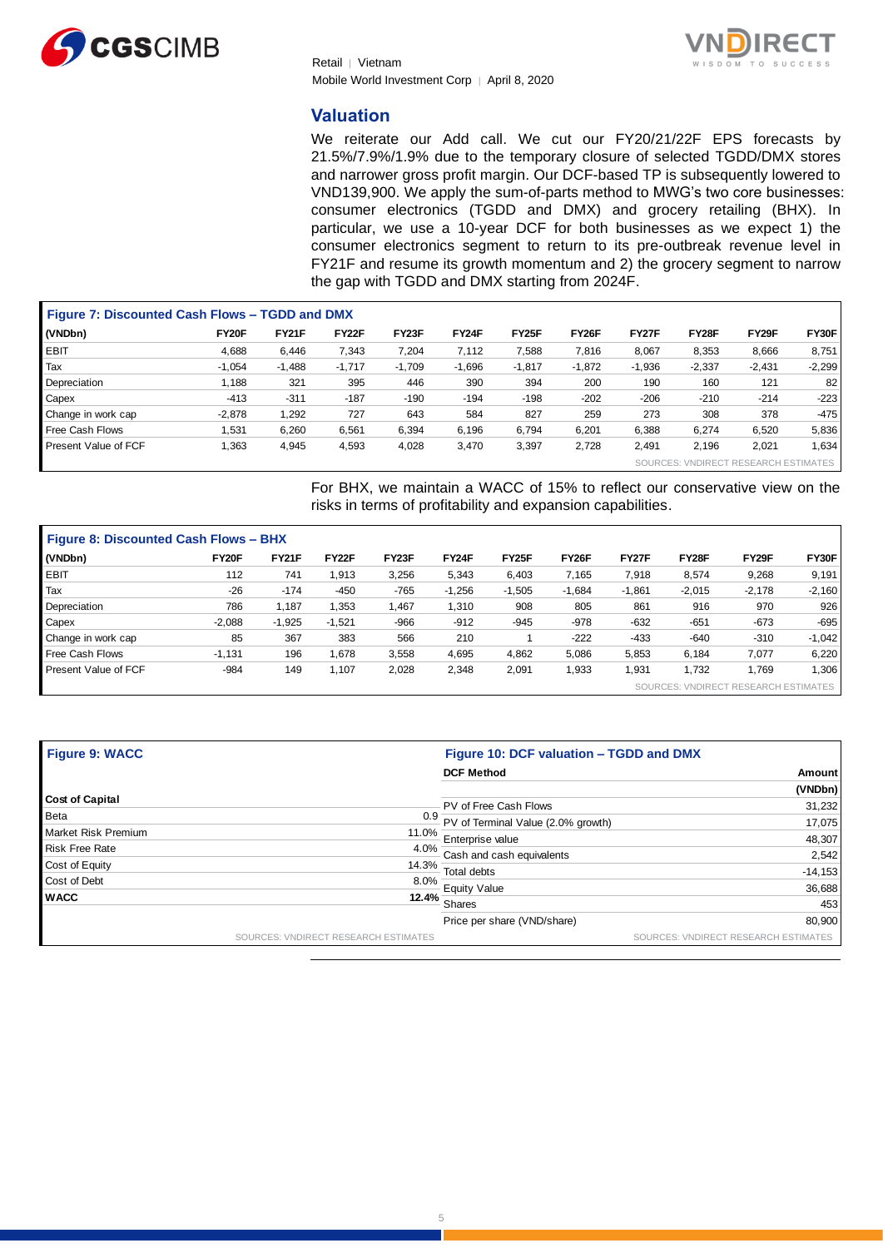



#### **Valuation**

We reiterate our Add call. We cut our FY20/21/22F EPS forecasts by 21.5%/7.9%/1.9% due to the temporary closure of selected TGDD/DMX stores and narrower gross profit margin. Our DCF-based TP is subsequently lowered to VND139,900. We apply the sum-of-parts method to MWG's two core businesses: consumer electronics (TGDD and DMX) and grocery retailing (BHX). In particular, we use a 10-year DCF for both businesses as we expect 1) the consumer electronics segment to return to its pre-outbreak revenue level in FY21F and resume its growth momentum and 2) the grocery segment to narrow the gap with TGDD and DMX starting from 2024F.

|                      | <b>Figure 7: Discounted Cash Flows - TGDD and DMX</b> |              |          |          |          |          |          |          |          |                          |          |  |  |
|----------------------|-------------------------------------------------------|--------------|----------|----------|----------|----------|----------|----------|----------|--------------------------|----------|--|--|
| (VNDbn)              | FY20F                                                 | <b>FY21F</b> | FY22F    | FY23F    | FY24F    | FY25F    | FY26F    | FY27F    | FY28F    | FY29F                    | FY30F    |  |  |
| <b>EBIT</b>          | 4,688                                                 | 6,446        | 7,343    | 7,204    | 7,112    | 7,588    | 7,816    | 8,067    | 8,353    | 8,666                    | 8,751    |  |  |
| Tax                  | $-1,054$                                              | $-1,488$     | $-1,717$ | $-1,709$ | $-1,696$ | $-1,817$ | $-1,872$ | $-1,936$ | $-2,337$ | $-2,431$                 | $-2,299$ |  |  |
| Depreciation         | 1,188                                                 | 321          | 395      | 446      | 390      | 394      | 200      | 190      | 160      | 121                      | 82       |  |  |
| Capex                | $-413$                                                | $-311$       | $-187$   | $-190$   | $-194$   | $-198$   | $-202$   | $-206$   | $-210$   | $-214$                   | $-223$   |  |  |
| Change in work cap   | $-2,878$                                              | 1,292        | 727      | 643      | 584      | 827      | 259      | 273      | 308      | 378                      | -475     |  |  |
| Free Cash Flows      | 1,531                                                 | 6,260        | 6,561    | 6,394    | 6,196    | 6,794    | 6,201    | 6,388    | 6,274    | 6,520                    | 5,836    |  |  |
| Present Value of FCF | 1,363                                                 | 4,945        | 4,593    | 4,028    | 3,470    | 3,397    | 2,728    | 2,491    | 2.196    | 2,021                    | .634     |  |  |
|                      |                                                       |              |          |          |          |          |          | SOURCES: |          | <b>VNDIRECT RESEARCH</b> | IMATES   |  |  |

For BHX, we maintain a WACC of 15% to reflect our conservative view on the risks in terms of profitability and expansion capabilities.

| <b>Figure 8: Discounted Cash Flows - BHX</b> |          |              |          |        |          |                    |          |          |                       |                           |          |  |
|----------------------------------------------|----------|--------------|----------|--------|----------|--------------------|----------|----------|-----------------------|---------------------------|----------|--|
| (VNDbn)                                      | FY20F    | <b>FY21F</b> | FY22F    | FY23F  | FY24F    | FY <sub>25</sub> F | FY26F    | FY27F    | FY28F                 | FY29F                     | FY30F    |  |
| <b>EBIT</b>                                  | 112      | 741          | 1,913    | 3,256  | 5,343    | 6,403              | 7,165    | 7,918    | 8,574                 | 9,268                     | 9,191    |  |
| Tax                                          | $-26$    | $-174$       | $-450$   | $-765$ | $-1,256$ | $-1,505$           | $-1,684$ | $-1,861$ | $-2,015$              | $-2,178$                  | $-2,160$ |  |
| Depreciation                                 | 786      | 1.187        | 1,353    | 1,467  | 1,310    | 908                | 805      | 861      | 916                   | 970                       | 926      |  |
| Capex                                        | $-2.088$ | $-1,925$     | $-1,521$ | $-966$ | $-912$   | $-945$             | $-978$   | $-632$   | $-651$                | $-673$                    | $-695$   |  |
| Change in work cap                           | 85       | 367          | 383      | 566    | 210      |                    | $-222$   | $-433$   | $-640$                | $-310$                    | $-1,042$ |  |
| Free Cash Flows                              | $-1,131$ | 196          | 1,678    | 3,558  | 4,695    | 4,862              | 5,086    | 5,853    | 6,184                 | 7,077                     | 6,220    |  |
| Present Value of FCF                         | $-984$   | 149          | 1,107    | 2,028  | 2,348    | 2,091              | 1,933    | 1,931    | 1,732                 | 1,769                     | 1,306    |  |
|                                              |          |              |          |        |          |                    |          | SOURCES: | VNDIRECT <sup>1</sup> | <b>RESEARCH ESTIMATES</b> |          |  |

| <b>Figure 9: WACC</b>  |                                      | Figure 10: DCF valuation - TGDD and DMX |                                      |  |  |  |  |  |
|------------------------|--------------------------------------|-----------------------------------------|--------------------------------------|--|--|--|--|--|
|                        |                                      | <b>DCF Method</b>                       | Amount                               |  |  |  |  |  |
|                        |                                      |                                         | (VNDbn)                              |  |  |  |  |  |
| <b>Cost of Capital</b> |                                      | PV of Free Cash Flows                   | 31,232                               |  |  |  |  |  |
| <b>Beta</b>            | 0.9                                  | PV of Terminal Value (2.0% growth)      | 17,075                               |  |  |  |  |  |
| Market Risk Premium    |                                      | 11.0% Enterprise value                  | 48,307                               |  |  |  |  |  |
| <b>Risk Free Rate</b>  |                                      | $-4.0\%$ Cash and cash equivalents      | 2,542                                |  |  |  |  |  |
| Cost of Equity         | 14.3%                                | Total debts                             | $-14,153$                            |  |  |  |  |  |
| Cost of Debt           | $8.0\%$                              |                                         |                                      |  |  |  |  |  |
| <b>WACC</b>            |                                      | Equity Value<br>$12.4\%$ Shares         | 36,688                               |  |  |  |  |  |
|                        |                                      |                                         | 453                                  |  |  |  |  |  |
|                        |                                      | Price per share (VND/share)             | 80,900                               |  |  |  |  |  |
|                        | SOURCES: VNDIRECT RESEARCH ESTIMATES |                                         | SOURCES: VNDIRECT RESEARCH ESTIMATES |  |  |  |  |  |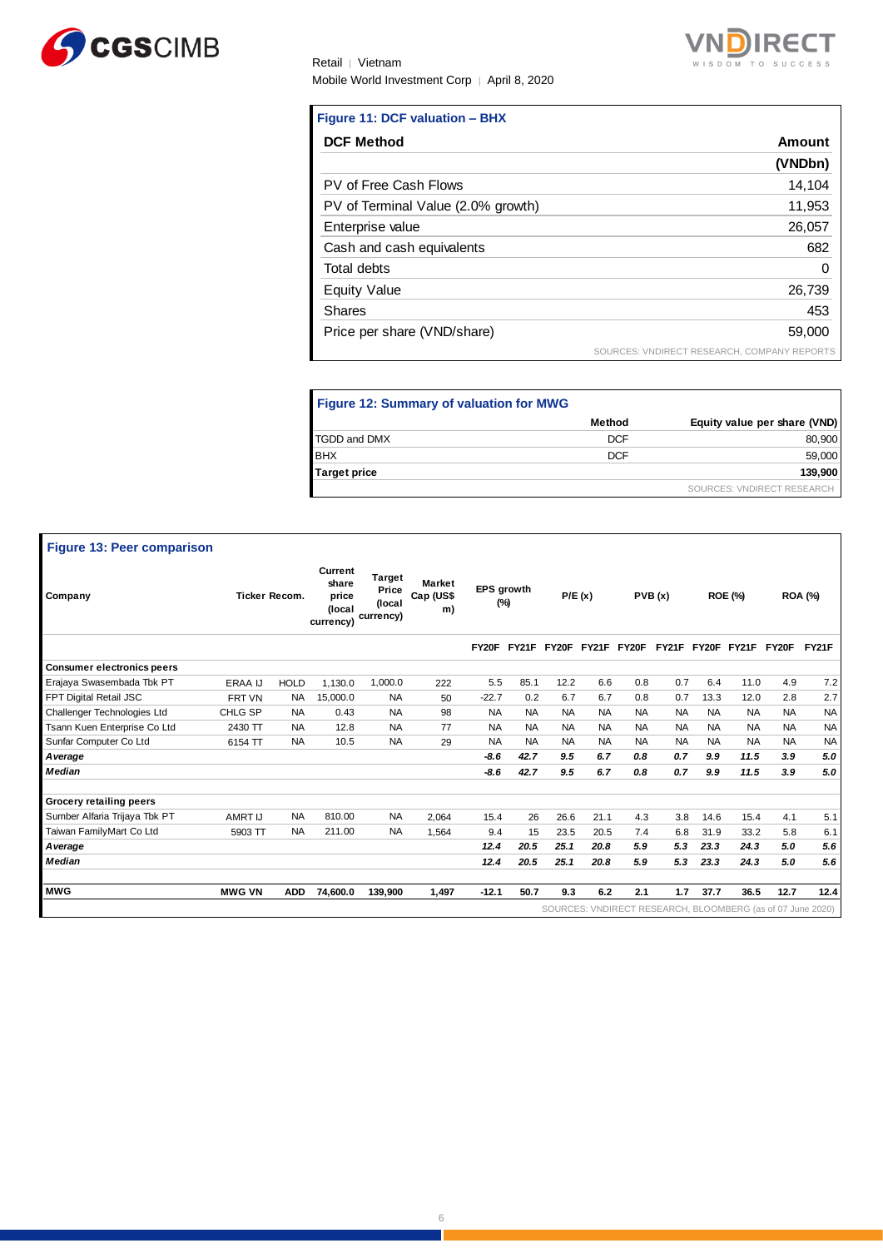



#### **Figure 11: DCF valuation – BHX**

| <b>DCF Method</b>                  | Amount                                      |
|------------------------------------|---------------------------------------------|
|                                    | (VNDbn)                                     |
| PV of Free Cash Flows              | 14,104                                      |
| PV of Terminal Value (2.0% growth) | 11,953                                      |
| Enterprise value                   | 26,057                                      |
| Cash and cash equivalents          | 682                                         |
| Total debts                        | 0                                           |
| <b>Equity Value</b>                | 26,739                                      |
| <b>Shares</b>                      | 453                                         |
| Price per share (VND/share)        | 59,000                                      |
|                                    | SOURCES: VNDIRECT RESEARCH, COMPANY REPORTS |

#### **Figure 12: Summary of valuation for MWG** SOURCES: VNDIRECT RESEARCH **Method Equity value per share (VND)** TGDD and DMX 80,900 BHX 59,000 **Target price 139,900**

| <b>Figure 13: Peer comparison</b> |                      |             |                                                  |                                               |                                  |                          |           |             |             |           |           |           |                                                            |           |                |
|-----------------------------------|----------------------|-------------|--------------------------------------------------|-----------------------------------------------|----------------------------------|--------------------------|-----------|-------------|-------------|-----------|-----------|-----------|------------------------------------------------------------|-----------|----------------|
| Company                           | <b>Ticker Recom.</b> |             | Current<br>share<br>price<br>(local<br>currency) | <b>Target</b><br>Price<br>(local<br>currency) | <b>Market</b><br>Cap (US\$<br>m) | <b>EPS</b> growth<br>(%) |           | P/E(x)      |             |           | PVB(x)    |           | <b>ROE (%)</b>                                             |           | <b>ROA (%)</b> |
|                                   |                      |             |                                                  |                                               |                                  | FY20F                    |           | FY21F FY20F | FY21F FY20F |           | FY21F     | FY20F     | FY21F                                                      | FY20F     | FY21F          |
| <b>Consumer electronics peers</b> |                      |             |                                                  |                                               |                                  |                          |           |             |             |           |           |           |                                                            |           |                |
| Erajaya Swasembada Tbk PT         | <b>ERAA IJ</b>       | <b>HOLD</b> | 1.130.0                                          | 1.000.0                                       | 222                              | 5.5                      | 85.1      | 12.2        | 6.6         | 0.8       | 0.7       | 6.4       | 11.0                                                       | 4.9       | 7.2            |
| FPT Digital Retail JSC            | FRT VN               | <b>NA</b>   | 15.000.0                                         | <b>NA</b>                                     | 50                               | $-22.7$                  | 0.2       | 6.7         | 6.7         | 0.8       | 0.7       | 13.3      | 12.0                                                       | 2.8       | 2.7            |
| Challenger Technologies Ltd       | CHLG SP              | <b>NA</b>   | 0.43                                             | <b>NA</b>                                     | 98                               | <b>NA</b>                | <b>NA</b> | <b>NA</b>   | <b>NA</b>   | <b>NA</b> | <b>NA</b> | NA.       | <b>NA</b>                                                  | <b>NA</b> | <b>NA</b>      |
| Tsann Kuen Enterprise Co Ltd      | 2430 TT              | <b>NA</b>   | 12.8                                             | <b>NA</b>                                     | 77                               | <b>NA</b>                | <b>NA</b> | <b>NA</b>   | <b>NA</b>   | <b>NA</b> | <b>NA</b> | <b>NA</b> | <b>NA</b>                                                  | <b>NA</b> | <b>NA</b>      |
| Sunfar Computer Co Ltd            | 6154 TT              | <b>NA</b>   | 10.5                                             | <b>NA</b>                                     | 29                               | <b>NA</b>                | <b>NA</b> | <b>NA</b>   | <b>NA</b>   | <b>NA</b> | <b>NA</b> | <b>NA</b> | <b>NA</b>                                                  | <b>NA</b> | <b>NA</b>      |
| A verage                          |                      |             |                                                  |                                               |                                  | $-8.6$                   | 42.7      | 9.5         | 6.7         | 0.8       | 0.7       | 9.9       | 11.5                                                       | 3.9       | 5.0            |
| <b>Median</b>                     |                      |             |                                                  |                                               |                                  | $-8.6$                   | 42.7      | 9.5         | 6.7         | 0.8       | 0.7       | 9.9       | 11.5                                                       | 3.9       | 5.0            |
| <b>Grocery retailing peers</b>    |                      |             |                                                  |                                               |                                  |                          |           |             |             |           |           |           |                                                            |           |                |
| Sumber Alfaria Trijaya Tbk PT     | AMRT IJ              | <b>NA</b>   | 810.00                                           | <b>NA</b>                                     | 2.064                            | 15.4                     | 26        | 26.6        | 21.1        | 4.3       | 3.8       | 14.6      | 15.4                                                       | 4.1       | 5.1            |
| Taiwan FamilyMart Co Ltd          | 5903 TT              | <b>NA</b>   | 211.00                                           | <b>NA</b>                                     | 1,564                            | 9.4                      | 15        | 23.5        | 20.5        | 7.4       | 6.8       | 31.9      | 33.2                                                       | 5.8       | 6.1            |
| A verage                          |                      |             |                                                  |                                               |                                  | 12.4                     | 20.5      | 25.1        | 20.8        | 5.9       | 5.3       | 23.3      | 24.3                                                       | 5.0       | 5.6            |
| <b>Median</b>                     |                      |             |                                                  |                                               |                                  | 12.4                     | 20.5      | 25.1        | 20.8        | 5.9       | 5.3       | 23.3      | 24.3                                                       | 5.0       | 5.6            |
| <b>MWG</b>                        | <b>MWG VN</b>        | <b>ADD</b>  | 74,600.0                                         | 139,900                                       | 1,497                            | $-12.1$                  | 50.7      | 9.3         | 6.2         | 2.1       | 1.7       | 37.7      | 36.5                                                       | 12.7      | 12.4           |
|                                   |                      |             |                                                  |                                               |                                  |                          |           |             |             |           |           |           | SOURCES: VNDIRECT RESEARCH, BLOOMBERG (as of 07 June 2020) |           |                |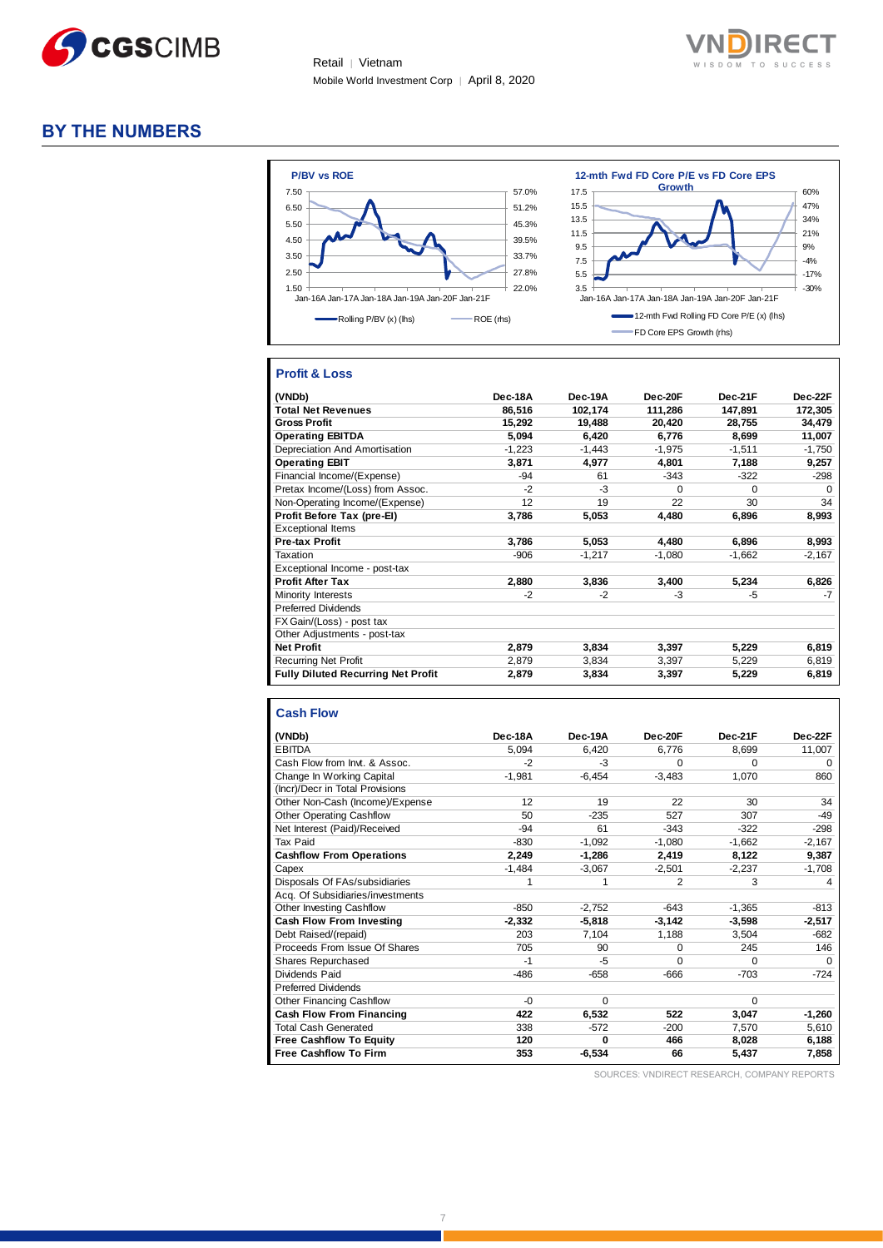



### **BY THE NUMBERS**



#### **Profit & Loss**

| (VNDb)                                    | Dec-18A  | Dec-19A  | Dec-20F  | Dec-21F  | Dec-22F  |
|-------------------------------------------|----------|----------|----------|----------|----------|
| <b>Total Net Revenues</b>                 | 86.516   | 102,174  | 111,286  | 147,891  | 172,305  |
| <b>Gross Profit</b>                       | 15,292   | 19.488   | 20.420   | 28.755   | 34,479   |
| <b>Operating EBITDA</b>                   | 5,094    | 6,420    | 6,776    | 8,699    | 11,007   |
| Depreciation And Amortisation             | $-1,223$ | $-1,443$ | $-1,975$ | $-1,511$ | $-1,750$ |
| <b>Operating EBIT</b>                     | 3,871    | 4,977    | 4,801    | 7,188    | 9,257    |
| Financial Income/(Expense)                | $-94$    | 61       | $-343$   | $-322$   | $-298$   |
| Pretax Income/(Loss) from Assoc.          | $-2$     | -3       | $\Omega$ | 0        | $\Omega$ |
| Non-Operating Income/(Expense)            | 12       | 19       | 22       | 30       | 34       |
| Profit Before Tax (pre-El)                | 3,786    | 5,053    | 4,480    | 6,896    | 8,993    |
| <b>Exceptional Items</b>                  |          |          |          |          |          |
| <b>Pre-tax Profit</b>                     | 3,786    | 5,053    | 4,480    | 6,896    | 8,993    |
| Taxation                                  | $-906$   | $-1,217$ | $-1,080$ | $-1,662$ | $-2,167$ |
| Exceptional Income - post-tax             |          |          |          |          |          |
| <b>Profit After Tax</b>                   | 2,880    | 3,836    | 3,400    | 5,234    | 6,826    |
| <b>Minority Interests</b>                 | $-2$     | -2       | -3       | -5       | $-7$     |
| <b>Preferred Dividends</b>                |          |          |          |          |          |
| FX Gain/(Loss) - post tax                 |          |          |          |          |          |
| Other Adjustments - post-tax              |          |          |          |          |          |
| <b>Net Profit</b>                         | 2,879    | 3,834    | 3,397    | 5,229    | 6,819    |
| <b>Recurring Net Profit</b>               | 2,879    | 3,834    | 3,397    | 5,229    | 6,819    |
| <b>Fully Diluted Recurring Net Profit</b> | 2,879    | 3,834    | 3,397    | 5,229    | 6,819    |

#### **Cash Flow**

|                                  | Dec-18A  | Dec-19A  | Dec-20F  | Dec-21F  | Dec-22F  |
|----------------------------------|----------|----------|----------|----------|----------|
| (VNDb)<br><b>EBITDA</b>          | 5.094    | 6,420    | 6,776    | 8.699    | 11,007   |
| Cash Flow from Invt. & Assoc.    | $-2$     | $-3$     | O        | $\Omega$ | $\Omega$ |
| Change In Working Capital        | $-1.981$ | $-6.454$ | $-3.483$ | 1.070    | 860      |
| (Incr)/Decr in Total Provisions  |          |          |          |          |          |
| Other Non-Cash (Income)/Expense  | 12       | 19       | 22       | 30       | 34       |
| <b>Other Operating Cashflow</b>  | 50       | $-235$   | 527      | 307      | $-49$    |
| Net Interest (Paid)/Received     | $-94$    | 61       | $-343$   | $-322$   | $-298$   |
| Tax Paid                         | $-830$   | $-1,092$ | $-1.080$ | $-1.662$ | $-2,167$ |
| <b>Cashflow From Operations</b>  | 2,249    | $-1.286$ | 2,419    | 8,122    | 9,387    |
| Capex                            | $-1,484$ | $-3,067$ | $-2.501$ | $-2.237$ | $-1,708$ |
| Disposals Of FAs/subsidiaries    | 1        | 1        | 2        | 3        | 4        |
| Acq. Of Subsidiaries/investments |          |          |          |          |          |
| Other Investing Cashflow         | $-850$   | $-2,752$ | $-643$   | $-1,365$ | $-813$   |
| Cash Flow From Investing         | $-2.332$ | $-5.818$ | $-3,142$ | $-3.598$ | $-2,517$ |
| Debt Raised/(repaid)             | 203      | 7,104    | 1,188    | 3,504    | $-682$   |
| Proceeds From Issue Of Shares    | 705      | 90       | 0        | 245      | 146      |
| Shares Repurchased               | $-1$     | $-5$     | $\Omega$ | $\Omega$ | $\Omega$ |
| Dividends Paid                   | $-486$   | $-658$   | -666     | $-703$   | $-724$   |
| <b>Preferred Dividends</b>       |          |          |          |          |          |
| <b>Other Financing Cashflow</b>  | $-0$     | $\Omega$ |          | $\Omega$ |          |
| Cash Flow From Financing         | 422      | 6,532    | 522      | 3,047    | $-1,260$ |
| <b>Total Cash Generated</b>      | 338      | $-572$   | $-200$   | 7.570    | 5,610    |
| <b>Free Cashflow To Equity</b>   | 120      | 0        | 466      | 8,028    | 6,188    |
| <b>Free Cashflow To Firm</b>     | 353      | $-6,534$ | 66       | 5,437    | 7,858    |

SOURCES: VNDIRECT RESEARCH, COMPANY REPORTS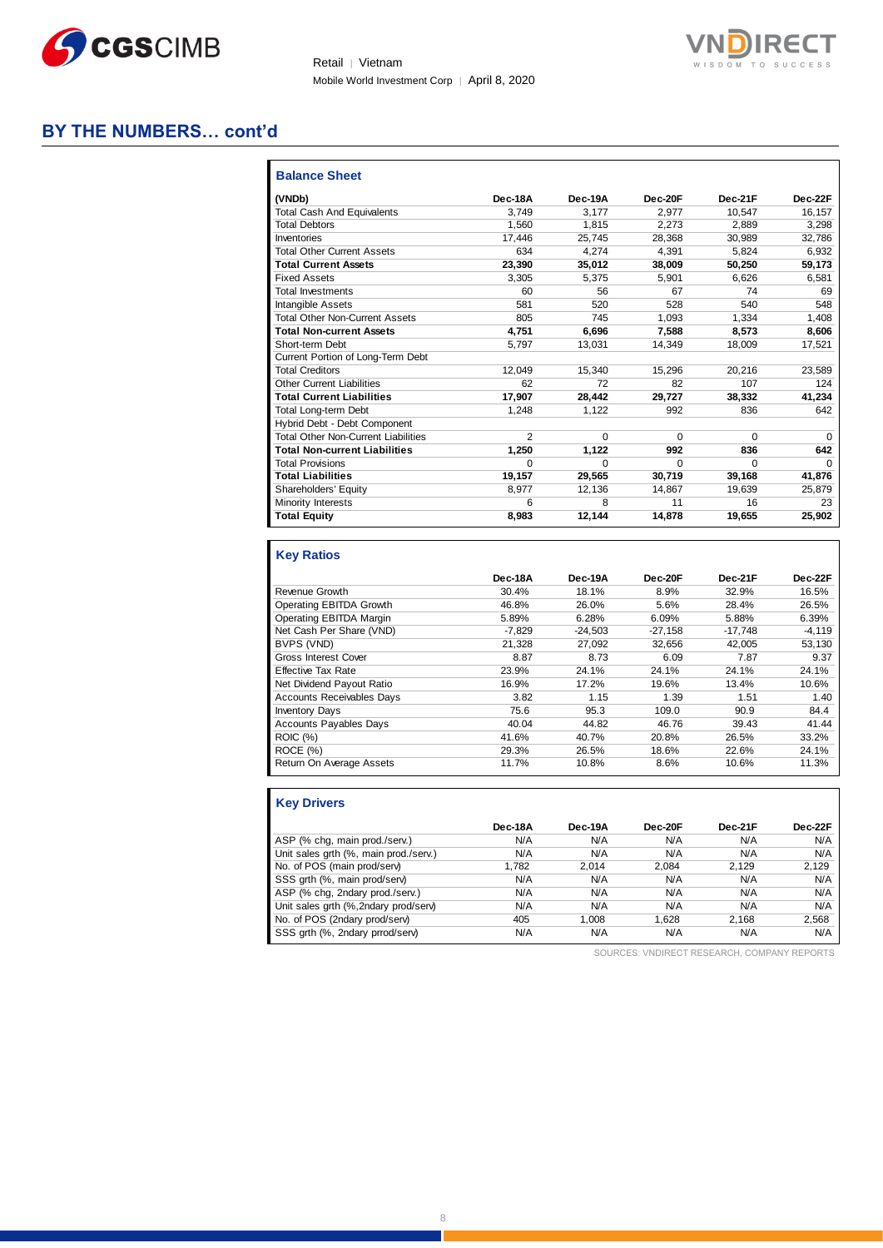



### **BY THE NUMBERS… cont'd**

| <b>Balance Sheet</b>                       |          |          |          |         |          |
|--------------------------------------------|----------|----------|----------|---------|----------|
| (VNDb)                                     | Dec-18A  | Dec-19A  | Dec-20F  | Dec-21F | Dec-22F  |
| <b>Total Cash And Equivalents</b>          | 3.749    | 3.177    | 2.977    | 10.547  | 16,157   |
| <b>Total Debtors</b>                       | 1.560    | 1.815    | 2.273    | 2.889   | 3,298    |
| Inventories                                | 17,446   | 25.745   | 28.368   | 30.989  | 32.786   |
| <b>Total Other Current Assets</b>          | 634      | 4.274    | 4.391    | 5.824   | 6.932    |
| <b>Total Current Assets</b>                | 23,390   | 35,012   | 38,009   | 50,250  | 59,173   |
| <b>Fixed Assets</b>                        | 3.305    | 5,375    | 5,901    | 6.626   | 6.581    |
| <b>Total Investments</b>                   | 60       | 56       | 67       | 74      | 69       |
| Intangible Assets                          | 581      | 520      | 528      | 540     | 548      |
| <b>Total Other Non-Current Assets</b>      | 805      | 745      | 1,093    | 1,334   | 1,408    |
| <b>Total Non-current Assets</b>            | 4.751    | 6,696    | 7,588    | 8.573   | 8,606    |
| Short-term Debt                            | 5.797    | 13,031   | 14.349   | 18.009  | 17,521   |
| Current Portion of Long-Term Debt          |          |          |          |         |          |
| <b>Total Creditors</b>                     | 12.049   | 15,340   | 15,296   | 20.216  | 23,589   |
| <b>Other Current Liabilities</b>           | 62       | 72       | 82       | 107     | 124      |
| <b>Total Current Liabilities</b>           | 17.907   | 28.442   | 29.727   | 38.332  | 41,234   |
| <b>Total Long-term Debt</b>                | 1.248    | 1,122    | 992      | 836     | 642      |
| Hybrid Debt - Debt Component               |          |          |          |         |          |
| <b>Total Other Non-Current Liabilities</b> | 2        | $\Omega$ | $\Omega$ | 0       | $\Omega$ |
| <b>Total Non-current Liabilities</b>       | 1.250    | 1.122    | 992      | 836     | 642      |
| <b>Total Provisions</b>                    | $\Omega$ | $\Omega$ | $\Omega$ | 0       | $\Omega$ |
| <b>Total Liabilities</b>                   | 19,157   | 29.565   | 30.719   | 39.168  | 41,876   |
| Shareholders' Equity                       | 8,977    | 12,136   | 14,867   | 19,639  | 25,879   |
| Minority Interests                         | 6        | 8        | 11       | 16      | 23       |
| <b>Total Equity</b>                        | 8,983    | 12,144   | 14,878   | 19,655  | 25,902   |

#### **Key Ratios**

|                                  | Dec-18A  | Dec-19A   | Dec-20F   | Dec-21F   | Dec-22F  |
|----------------------------------|----------|-----------|-----------|-----------|----------|
| Revenue Growth                   | 30.4%    | 18.1%     | 8.9%      | 32.9%     | 16.5%    |
| Operating EBITDA Growth          | 46.8%    | 26.0%     | 5.6%      | 28.4%     | 26.5%    |
| Operating EBITDA Margin          | 5.89%    | 6.28%     | 6.09%     | 5.88%     | 6.39%    |
| Net Cash Per Share (VND)         | $-7.829$ | $-24,503$ | $-27,158$ | $-17,748$ | $-4,119$ |
| BVPS (VND)                       | 21.328   | 27.092    | 32.656    | 42.005    | 53.130   |
| <b>Gross Interest Cover</b>      | 8.87     | 8.73      | 6.09      | 7.87      | 9.37     |
| <b>Effective Tax Rate</b>        | 23.9%    | 24.1%     | 24.1%     | 24.1%     | 24.1%    |
| Net Dividend Payout Ratio        | 16.9%    | 17.2%     | 19.6%     | 13.4%     | 10.6%    |
| <b>Accounts Receivables Days</b> | 3.82     | 1.15      | 1.39      | 1.51      | 1.40     |
| <b>Inventory Days</b>            | 75.6     | 95.3      | 109.0     | 90.9      | 84.4     |
| <b>Accounts Payables Days</b>    | 40.04    | 44.82     | 46.76     | 39.43     | 41.44    |
| <b>ROIC (%)</b>                  | 41.6%    | 40.7%     | 20.8%     | 26.5%     | 33.2%    |
| ROCE(%)                          | 29.3%    | 26.5%     | 18.6%     | 22.6%     | 24.1%    |
| Return On Average Assets         | 11.7%    | 10.8%     | 8.6%      | 10.6%     | 11.3%    |

| <b>Key Drivers</b>                    |         |         |         |         |         |
|---------------------------------------|---------|---------|---------|---------|---------|
|                                       | Dec-18A | Dec-19A | Dec-20F | Dec-21F | Dec-22F |
| ASP (% chg, main prod./serv.)         | N/A     | N/A     | N/A     | N/A     | N/A     |
| Unit sales grth (%, main prod./serv.) | N/A     | N/A     | N/A     | N/A     | N/A     |
| No. of POS (main prod/serv)           | 1.782   | 2.014   | 2.084   | 2.129   | 2,129   |
| SSS grth (%, main prod/serv)          | N/A     | N/A     | N/A     | N/A     | N/A     |
| ASP (% chg, 2ndary prod./serv.)       | N/A     | N/A     | N/A     | N/A     | N/A     |
| Unit sales grth (%,2ndary prod/serv)  | N/A     | N/A     | N/A     | N/A     | N/A     |
| No. of POS (2ndary prod/serv)         | 405     | 1.008   | 1.628   | 2.168   | 2,568   |
| SSS grth (%, 2ndary prrod/serv)       | N/A     | N/A     | N/A     | N/A     | N/A     |

SOURCES: VNDIRECT RESEARCH, COMPANY REPORTS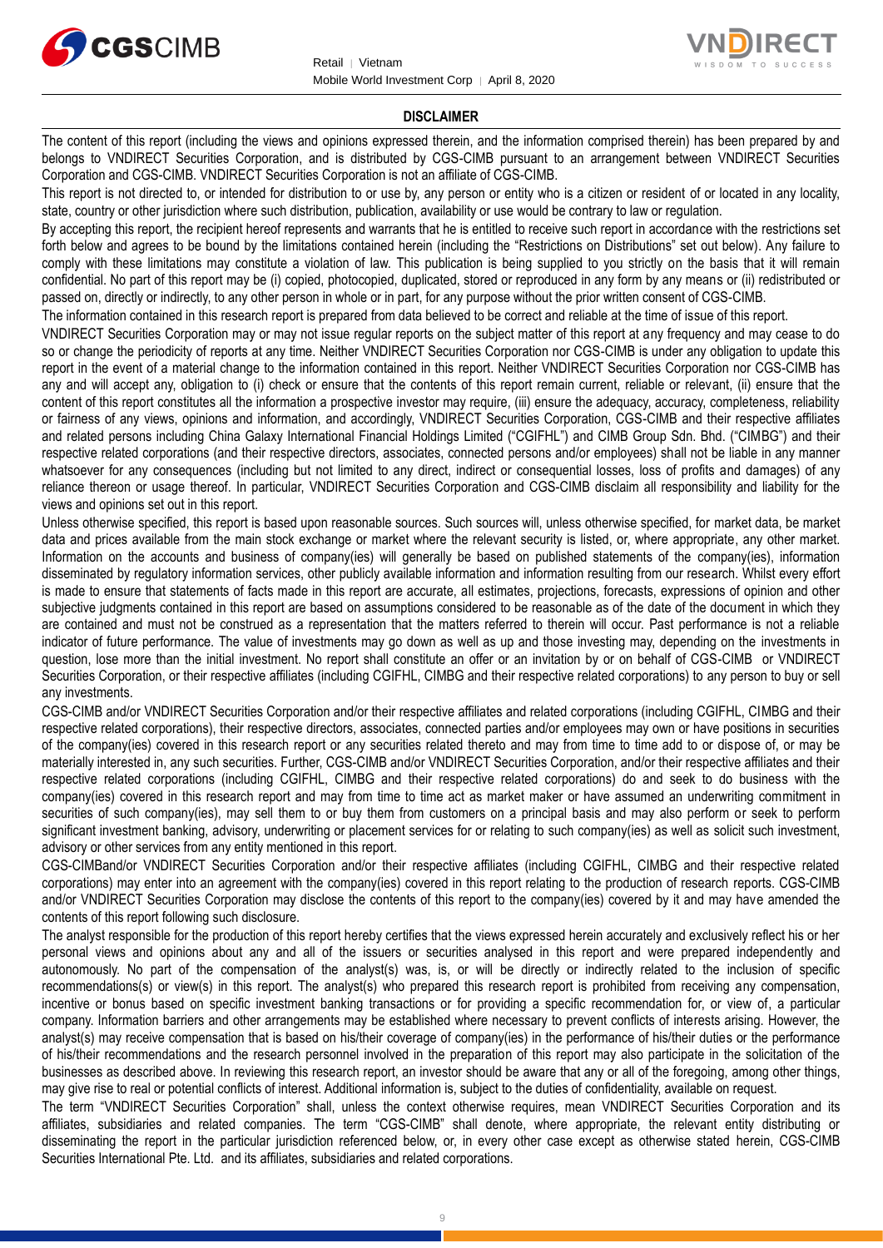



#### **DISCLAIMER**

The content of this report (including the views and opinions expressed therein, and the information comprised therein) has been prepared by and belongs to VNDIRECT Securities Corporation, and is distributed by CGS-CIMB pursuant to an arrangement between VNDIRECT Securities Corporation and CGS-CIMB. VNDIRECT Securities Corporation is not an affiliate of CGS-CIMB.

This report is not directed to, or intended for distribution to or use by, any person or entity who is a citizen or resident of or located in any locality, state, country or other jurisdiction where such distribution, publication, availability or use would be contrary to law or regulation.

By accepting this report, the recipient hereof represents and warrants that he is entitled to receive such report in accordance with the restrictions set forth below and agrees to be bound by the limitations contained herein (including the "Restrictions on Distributions" set out below). Any failure to comply with these limitations may constitute a violation of law. This publication is being supplied to you strictly on the basis that it will remain confidential. No part of this report may be (i) copied, photocopied, duplicated, stored or reproduced in any form by any means or (ii) redistributed or passed on, directly or indirectly, to any other person in whole or in part, for any purpose without the prior written consent of CGS-CIMB.

The information contained in this research report is prepared from data believed to be correct and reliable at the time of issue of this report.

VNDIRECT Securities Corporation may or may not issue regular reports on the subject matter of this report at any frequency and may cease to do so or change the periodicity of reports at any time. Neither VNDIRECT Securities Corporation nor CGS-CIMB is under any obligation to update this report in the event of a material change to the information contained in this report. Neither VNDIRECT Securities Corporation nor CGS-CIMB has any and will accept any, obligation to (i) check or ensure that the contents of this report remain current, reliable or relevant, (ii) ensure that the content of this report constitutes all the information a prospective investor may require, (iii) ensure the adequacy, accuracy, completeness, reliability or fairness of any views, opinions and information, and accordingly, VNDIRECT Securities Corporation, CGS-CIMB and their respective affiliates and related persons including China Galaxy International Financial Holdings Limited ("CGIFHL") and CIMB Group Sdn. Bhd. ("CIMBG") and their respective related corporations (and their respective directors, associates, connected persons and/or employees) shall not be liable in any manner whatsoever for any consequences (including but not limited to any direct, indirect or consequential losses, loss of profits and damages) of any reliance thereon or usage thereof. In particular, VNDIRECT Securities Corporation and CGS-CIMB disclaim all responsibility and liability for the views and opinions set out in this report.

Unless otherwise specified, this report is based upon reasonable sources. Such sources will, unless otherwise specified, for market data, be market data and prices available from the main stock exchange or market where the relevant security is listed, or, where appropriate, any other market. Information on the accounts and business of company(ies) will generally be based on published statements of the company(ies), information disseminated by regulatory information services, other publicly available information and information resulting from our research. Whilst every effort is made to ensure that statements of facts made in this report are accurate, all estimates, projections, forecasts, expressions of opinion and other subjective judgments contained in this report are based on assumptions considered to be reasonable as of the date of the document in which they are contained and must not be construed as a representation that the matters referred to therein will occur. Past performance is not a reliable indicator of future performance. The value of investments may go down as well as up and those investing may, depending on the investments in question, lose more than the initial investment. No report shall constitute an offer or an invitation by or on behalf of CGS-CIMB or VNDIRECT Securities Corporation, or their respective affiliates (including CGIFHL, CIMBG and their respective related corporations) to any person to buy or sell any investments.

CGS-CIMB and/or VNDIRECT Securities Corporation and/or their respective affiliates and related corporations (including CGIFHL, CIMBG and their respective related corporations), their respective directors, associates, connected parties and/or employees may own or have positions in securities of the company(ies) covered in this research report or any securities related thereto and may from time to time add to or dispose of, or may be materially interested in, any such securities. Further, CGS-CIMB and/or VNDIRECT Securities Corporation, and/or their respective affiliates and their respective related corporations (including CGIFHL, CIMBG and their respective related corporations) do and seek to do business with the company(ies) covered in this research report and may from time to time act as market maker or have assumed an underwriting commitment in securities of such company(ies), may sell them to or buy them from customers on a principal basis and may also perform or seek to perform significant investment banking, advisory, underwriting or placement services for or relating to such company(ies) as well as solicit such investment, advisory or other services from any entity mentioned in this report.

CGS-CIMBand/or VNDIRECT Securities Corporation and/or their respective affiliates (including CGIFHL, CIMBG and their respective related corporations) may enter into an agreement with the company(ies) covered in this report relating to the production of research reports. CGS-CIMB and/or VNDIRECT Securities Corporation may disclose the contents of this report to the company(ies) covered by it and may have amended the contents of this report following such disclosure.

The analyst responsible for the production of this report hereby certifies that the views expressed herein accurately and exclusively reflect his or her personal views and opinions about any and all of the issuers or securities analysed in this report and were prepared independently and autonomously. No part of the compensation of the analyst(s) was, is, or will be directly or indirectly related to the inclusion of specific recommendations(s) or view(s) in this report. The analyst(s) who prepared this research report is prohibited from receiving any compensation, incentive or bonus based on specific investment banking transactions or for providing a specific recommendation for, or view of, a particular company. Information barriers and other arrangements may be established where necessary to prevent conflicts of interests arising. However, the analyst(s) may receive compensation that is based on his/their coverage of company(ies) in the performance of his/their duties or the performance of his/their recommendations and the research personnel involved in the preparation of this report may also participate in the solicitation of the businesses as described above. In reviewing this research report, an investor should be aware that any or all of the foregoing, among other things, may give rise to real or potential conflicts of interest. Additional information is, subject to the duties of confidentiality, available on request.

The term "VNDIRECT Securities Corporation" shall, unless the context otherwise requires, mean VNDIRECT Securities Corporation and its affiliates, subsidiaries and related companies. The term "CGS-CIMB" shall denote, where appropriate, the relevant entity distributing or disseminating the report in the particular jurisdiction referenced below, or, in every other case except as otherwise stated herein, CGS-CIMB Securities International Pte. Ltd. and its affiliates, subsidiaries and related corporations.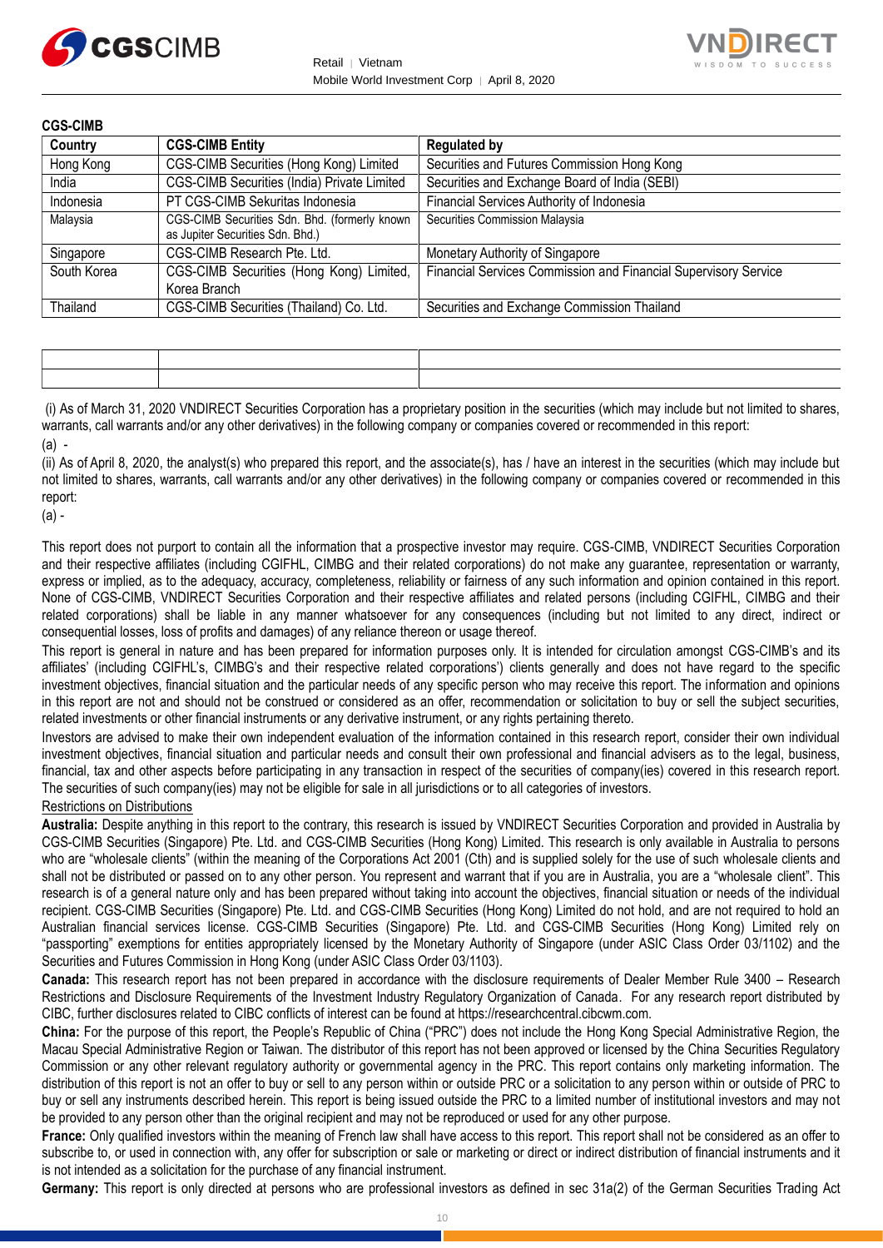



| <b>CGS-CIMB</b> |                                                                                   |                                                                 |
|-----------------|-----------------------------------------------------------------------------------|-----------------------------------------------------------------|
| Country         | <b>CGS-CIMB Entity</b>                                                            | <b>Regulated by</b>                                             |
| Hong Kong       | CGS-CIMB Securities (Hong Kong) Limited                                           | Securities and Futures Commission Hong Kong                     |
| India           | CGS-CIMB Securities (India) Private Limited                                       | Securities and Exchange Board of India (SEBI)                   |
| Indonesia       | PT CGS-CIMB Sekuritas Indonesia                                                   | Financial Services Authority of Indonesia                       |
| Malaysia        | CGS-CIMB Securities Sdn. Bhd. (formerly known<br>as Jupiter Securities Sdn. Bhd.) | Securities Commission Malaysia                                  |
| Singapore       | CGS-CIMB Research Pte. Ltd.                                                       | Monetary Authority of Singapore                                 |
| South Korea     | CGS-CIMB Securities (Hong Kong) Limited,                                          | Financial Services Commission and Financial Supervisory Service |
|                 | Korea Branch                                                                      |                                                                 |
| Thailand        | CGS-CIMB Securities (Thailand) Co. Ltd.                                           | Securities and Exchange Commission Thailand                     |

(i) As of March 31, 2020 VNDIRECT Securities Corporation has a proprietary position in the securities (which may include but not limited to shares, warrants, call warrants and/or any other derivatives) in the following company or companies covered or recommended in this report: (a) -

(ii) As of April 8, 2020, the analyst(s) who prepared this report, and the associate(s), has / have an interest in the securities (which may include but not limited to shares, warrants, call warrants and/or any other derivatives) in the following company or companies covered or recommended in this report:

(a) -

This report does not purport to contain all the information that a prospective investor may require. CGS-CIMB, VNDIRECT Securities Corporation and their respective affiliates (including CGIFHL, CIMBG and their related corporations) do not make any guarantee, representation or warranty, express or implied, as to the adequacy, accuracy, completeness, reliability or fairness of any such information and opinion contained in this report. None of CGS-CIMB, VNDIRECT Securities Corporation and their respective affiliates and related persons (including CGIFHL, CIMBG and their related corporations) shall be liable in any manner whatsoever for any consequences (including but not limited to any direct, indirect or consequential losses, loss of profits and damages) of any reliance thereon or usage thereof.

This report is general in nature and has been prepared for information purposes only. It is intended for circulation amongst CGS-CIMB's and its affiliates' (including CGIFHL's, CIMBG's and their respective related corporations') clients generally and does not have regard to the specific investment objectives, financial situation and the particular needs of any specific person who may receive this report. The information and opinions in this report are not and should not be construed or considered as an offer, recommendation or solicitation to buy or sell the subject securities, related investments or other financial instruments or any derivative instrument, or any rights pertaining thereto.

Investors are advised to make their own independent evaluation of the information contained in this research report, consider their own individual investment objectives, financial situation and particular needs and consult their own professional and financial advisers as to the legal, business, financial, tax and other aspects before participating in any transaction in respect of the securities of company(ies) covered in this research report. The securities of such company(ies) may not be eligible for sale in all jurisdictions or to all categories of investors.

#### Restrictions on Distributions

**Australia:** Despite anything in this report to the contrary, this research is issued by VNDIRECT Securities Corporation and provided in Australia by CGS-CIMB Securities (Singapore) Pte. Ltd. and CGS-CIMB Securities (Hong Kong) Limited. This research is only available in Australia to persons who are "wholesale clients" (within the meaning of the Corporations Act 2001 (Cth) and is supplied solely for the use of such wholesale clients and shall not be distributed or passed on to any other person. You represent and warrant that if you are in Australia, you are a "wholesale client". This research is of a general nature only and has been prepared without taking into account the objectives, financial situation or needs of the individual recipient. CGS-CIMB Securities (Singapore) Pte. Ltd. and CGS-CIMB Securities (Hong Kong) Limited do not hold, and are not required to hold an Australian financial services license. CGS-CIMB Securities (Singapore) Pte. Ltd. and CGS-CIMB Securities (Hong Kong) Limited rely on "passporting" exemptions for entities appropriately licensed by the Monetary Authority of Singapore (under ASIC Class Order 03/1102) and the Securities and Futures Commission in Hong Kong (under ASIC Class Order 03/1103).

**Canada:** This research report has not been prepared in accordance with the disclosure requirements of Dealer Member Rule 3400 – Research Restrictions and Disclosure Requirements of the Investment Industry Regulatory Organization of Canada. For any research report distributed by CIBC, further disclosures related to CIBC conflicts of interest can be found at https://researchcentral.cibcwm.com.

**China:** For the purpose of this report, the People's Republic of China ("PRC") does not include the Hong Kong Special Administrative Region, the Macau Special Administrative Region or Taiwan. The distributor of this report has not been approved or licensed by the China Securities Regulatory Commission or any other relevant regulatory authority or governmental agency in the PRC. This report contains only marketing information. The distribution of this report is not an offer to buy or sell to any person within or outside PRC or a solicitation to any person within or outside of PRC to buy or sell any instruments described herein. This report is being issued outside the PRC to a limited number of institutional investors and may not be provided to any person other than the original recipient and may not be reproduced or used for any other purpose.

**France:** Only qualified investors within the meaning of French law shall have access to this report. This report shall not be considered as an offer to subscribe to, or used in connection with, any offer for subscription or sale or marketing or direct or indirect distribution of financial instruments and it is not intended as a solicitation for the purchase of any financial instrument.

**Germany:** This report is only directed at persons who are professional investors as defined in sec 31a(2) of the German Securities Trading Act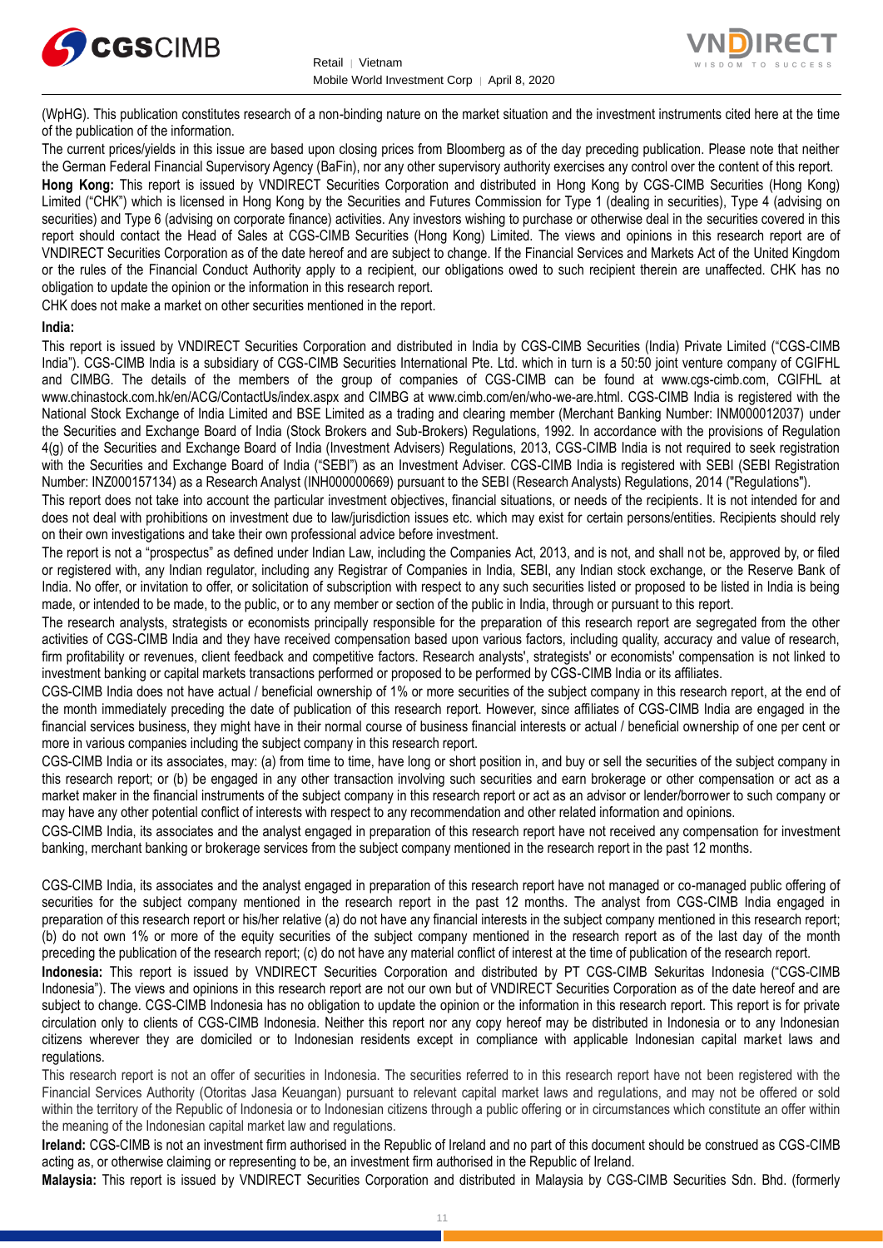



(WpHG). This publication constitutes research of a non-binding nature on the market situation and the investment instruments cited here at the time of the publication of the information.

The current prices/yields in this issue are based upon closing prices from Bloomberg as of the day preceding publication. Please note that neither the German Federal Financial Supervisory Agency (BaFin), nor any other supervisory authority exercises any control over the content of this report.

**Hong Kong:** This report is issued by VNDIRECT Securities Corporation and distributed in Hong Kong by CGS-CIMB Securities (Hong Kong) Limited ("CHK") which is licensed in Hong Kong by the Securities and Futures Commission for Type 1 (dealing in securities), Type 4 (advising on securities) and Type 6 (advising on corporate finance) activities. Any investors wishing to purchase or otherwise deal in the securities covered in this report should contact the Head of Sales at CGS-CIMB Securities (Hong Kong) Limited. The views and opinions in this research report are of VNDIRECT Securities Corporation as of the date hereof and are subject to change. If the Financial Services and Markets Act of the United Kingdom or the rules of the Financial Conduct Authority apply to a recipient, our obligations owed to such recipient therein are unaffected. CHK has no obligation to update the opinion or the information in this research report.

CHK does not make a market on other securities mentioned in the report.

#### **India:**

This report is issued by VNDIRECT Securities Corporation and distributed in India by CGS-CIMB Securities (India) Private Limited ("CGS-CIMB India"). CGS-CIMB India is a subsidiary of CGS-CIMB Securities International Pte. Ltd. which in turn is a 50:50 joint venture company of CGIFHL and CIMBG. The details of the members of the group of companies of CGS-CIMB can be found at www.cgs-cimb.com, CGIFHL at www.chinastock.com.hk/en/ACG/ContactUs/index.aspx and CIMBG at www.cimb.com/en/who-we-are.html. CGS-CIMB India is registered with the National Stock Exchange of India Limited and BSE Limited as a trading and clearing member (Merchant Banking Number: INM000012037) under the Securities and Exchange Board of India (Stock Brokers and Sub-Brokers) Regulations, 1992. In accordance with the provisions of Regulation 4(g) of the Securities and Exchange Board of India (Investment Advisers) Regulations, 2013, CGS-CIMB India is not required to seek registration with the Securities and Exchange Board of India ("SEBI") as an Investment Adviser. CGS-CIMB India is registered with SEBI (SEBI Registration Number: INZ000157134) as a Research Analyst (INH000000669) pursuant to the SEBI (Research Analysts) Regulations, 2014 ("Regulations").

This report does not take into account the particular investment objectives, financial situations, or needs of the recipients. It is not intended for and does not deal with prohibitions on investment due to law/jurisdiction issues etc. which may exist for certain persons/entities. Recipients should rely on their own investigations and take their own professional advice before investment.

The report is not a "prospectus" as defined under Indian Law, including the Companies Act, 2013, and is not, and shall not be, approved by, or filed or registered with, any Indian regulator, including any Registrar of Companies in India, SEBI, any Indian stock exchange, or the Reserve Bank of India. No offer, or invitation to offer, or solicitation of subscription with respect to any such securities listed or proposed to be listed in India is being made, or intended to be made, to the public, or to any member or section of the public in India, through or pursuant to this report.

The research analysts, strategists or economists principally responsible for the preparation of this research report are segregated from the other activities of CGS-CIMB India and they have received compensation based upon various factors, including quality, accuracy and value of research, firm profitability or revenues, client feedback and competitive factors. Research analysts', strategists' or economists' compensation is not linked to investment banking or capital markets transactions performed or proposed to be performed by CGS-CIMB India or its affiliates.

CGS-CIMB India does not have actual / beneficial ownership of 1% or more securities of the subject company in this research report, at the end of the month immediately preceding the date of publication of this research report. However, since affiliates of CGS-CIMB India are engaged in the financial services business, they might have in their normal course of business financial interests or actual / beneficial ownership of one per cent or more in various companies including the subject company in this research report.

CGS-CIMB India or its associates, may: (a) from time to time, have long or short position in, and buy or sell the securities of the subject company in this research report; or (b) be engaged in any other transaction involving such securities and earn brokerage or other compensation or act as a market maker in the financial instruments of the subject company in this research report or act as an advisor or lender/borrower to such company or may have any other potential conflict of interests with respect to any recommendation and other related information and opinions.

CGS-CIMB India, its associates and the analyst engaged in preparation of this research report have not received any compensation for investment banking, merchant banking or brokerage services from the subject company mentioned in the research report in the past 12 months.

CGS-CIMB India, its associates and the analyst engaged in preparation of this research report have not managed or co-managed public offering of securities for the subject company mentioned in the research report in the past 12 months. The analyst from CGS-CIMB India engaged in preparation of this research report or his/her relative (a) do not have any financial interests in the subject company mentioned in this research report; (b) do not own 1% or more of the equity securities of the subject company mentioned in the research report as of the last day of the month preceding the publication of the research report; (c) do not have any material conflict of interest at the time of publication of the research report.

**Indonesia:** This report is issued by VNDIRECT Securities Corporation and distributed by PT CGS-CIMB Sekuritas Indonesia ("CGS-CIMB Indonesia"). The views and opinions in this research report are not our own but of VNDIRECT Securities Corporation as of the date hereof and are subject to change. CGS-CIMB Indonesia has no obligation to update the opinion or the information in this research report. This report is for private circulation only to clients of CGS-CIMB Indonesia. Neither this report nor any copy hereof may be distributed in Indonesia or to any Indonesian citizens wherever they are domiciled or to Indonesian residents except in compliance with applicable Indonesian capital market laws and regulations.

This research report is not an offer of securities in Indonesia. The securities referred to in this research report have not been registered with the Financial Services Authority (Otoritas Jasa Keuangan) pursuant to relevant capital market laws and regulations, and may not be offered or sold within the territory of the Republic of Indonesia or to Indonesian citizens through a public offering or in circumstances which constitute an offer within the meaning of the Indonesian capital market law and regulations.

**Ireland:** CGS-CIMB is not an investment firm authorised in the Republic of Ireland and no part of this document should be construed as CGS-CIMB acting as, or otherwise claiming or representing to be, an investment firm authorised in the Republic of Ireland.

**Malaysia:** This report is issued by VNDIRECT Securities Corporation and distributed in Malaysia by CGS-CIMB Securities Sdn. Bhd. (formerly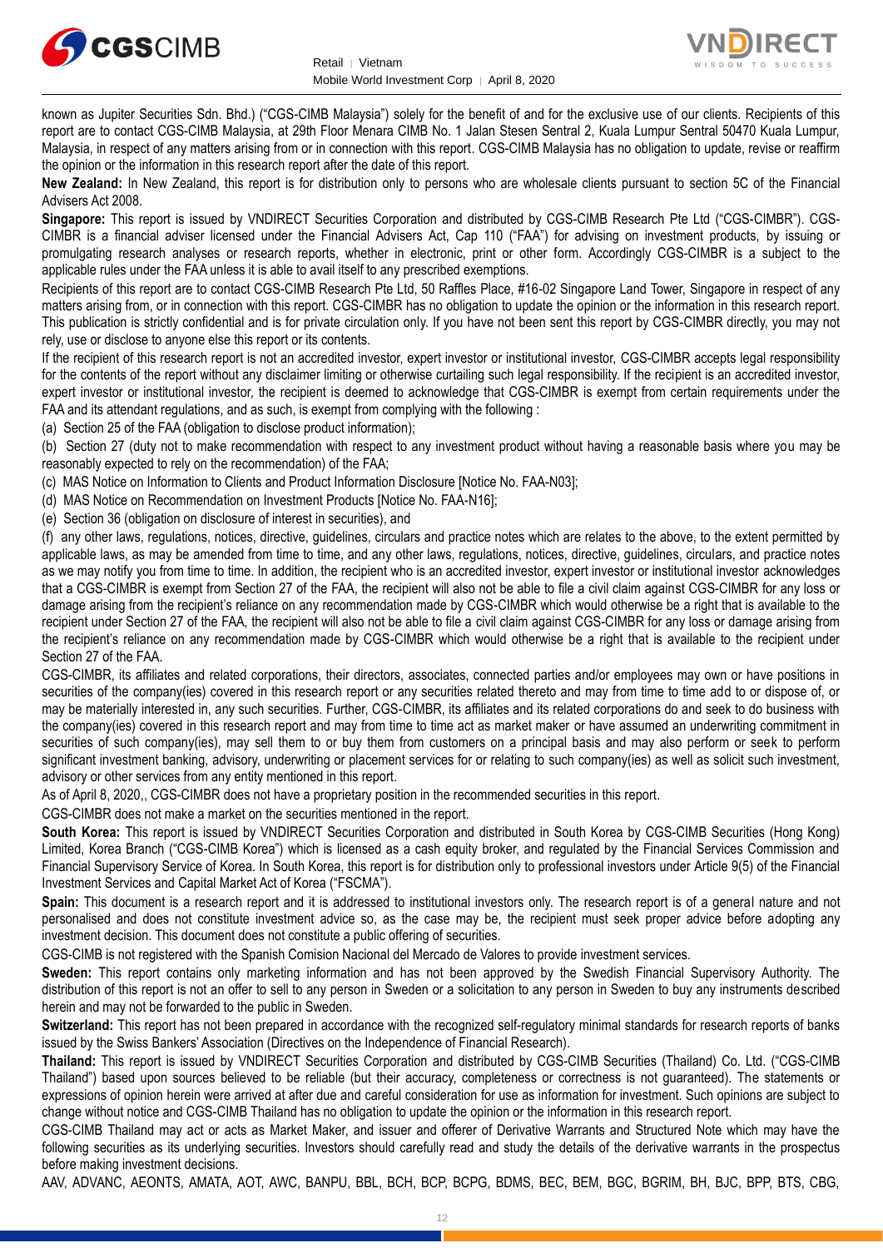



known as Jupiter Securities Sdn. Bhd.) ("CGS-CIMB Malaysia") solely for the benefit of and for the exclusive use of our clients. Recipients of this report are to contact CGS-CIMB Malaysia, at 29th Floor Menara CIMB No. 1 Jalan Stesen Sentral 2, Kuala Lumpur Sentral 50470 Kuala Lumpur, Malaysia, in respect of any matters arising from or in connection with this report. CGS-CIMB Malaysia has no obligation to update, revise or reaffirm the opinion or the information in this research report after the date of this report.

**New Zealand:** In New Zealand, this report is for distribution only to persons who are wholesale clients pursuant to section 5C of the Financial Advisers Act 2008.

**Singapore:** This report is issued by VNDIRECT Securities Corporation and distributed by CGS-CIMB Research Pte Ltd ("CGS-CIMBR"). CGS-CIMBR is a financial adviser licensed under the Financial Advisers Act, Cap 110 ("FAA") for advising on investment products, by issuing or promulgating research analyses or research reports, whether in electronic, print or other form. Accordingly CGS-CIMBR is a subject to the applicable rules under the FAA unless it is able to avail itself to any prescribed exemptions.

Recipients of this report are to contact CGS-CIMB Research Pte Ltd, 50 Raffles Place, #16-02 Singapore Land Tower, Singapore in respect of any matters arising from, or in connection with this report. CGS-CIMBR has no obligation to update the opinion or the information in this research report. This publication is strictly confidential and is for private circulation only. If you have not been sent this report by CGS-CIMBR directly, you may not rely, use or disclose to anyone else this report or its contents.

If the recipient of this research report is not an accredited investor, expert investor or institutional investor, CGS-CIMBR accepts legal responsibility for the contents of the report without any disclaimer limiting or otherwise curtailing such legal responsibility. If the recipient is an accredited investor, expert investor or institutional investor, the recipient is deemed to acknowledge that CGS-CIMBR is exempt from certain requirements under the FAA and its attendant regulations, and as such, is exempt from complying with the following :

(a) Section 25 of the FAA (obligation to disclose product information);

(b) Section 27 (duty not to make recommendation with respect to any investment product without having a reasonable basis where you may be reasonably expected to rely on the recommendation) of the FAA;

(c) MAS Notice on Information to Clients and Product Information Disclosure [Notice No. FAA-N03];

(d) MAS Notice on Recommendation on Investment Products [Notice No. FAA-N16];

(e) Section 36 (obligation on disclosure of interest in securities), and

(f) any other laws, regulations, notices, directive, guidelines, circulars and practice notes which are relates to the above, to the extent permitted by applicable laws, as may be amended from time to time, and any other laws, regulations, notices, directive, guidelines, circulars, and practice notes as we may notify you from time to time. In addition, the recipient who is an accredited investor, expert investor or institutional investor acknowledges that a CGS-CIMBR is exempt from Section 27 of the FAA, the recipient will also not be able to file a civil claim against CGS-CIMBR for any loss or damage arising from the recipient's reliance on any recommendation made by CGS-CIMBR which would otherwise be a right that is available to the recipient under Section 27 of the FAA, the recipient will also not be able to file a civil claim against CGS-CIMBR for any loss or damage arising from the recipient's reliance on any recommendation made by CGS-CIMBR which would otherwise be a right that is available to the recipient under Section 27 of the FAA.

CGS-CIMBR, its affiliates and related corporations, their directors, associates, connected parties and/or employees may own or have positions in securities of the company(ies) covered in this research report or any securities related thereto and may from time to time add to or dispose of, or may be materially interested in, any such securities. Further, CGS-CIMBR, its affiliates and its related corporations do and seek to do business with the company(ies) covered in this research report and may from time to time act as market maker or have assumed an underwriting commitment in securities of such company(ies), may sell them to or buy them from customers on a principal basis and may also perform or seek to perform significant investment banking, advisory, underwriting or placement services for or relating to such company(ies) as well as solicit such investment, advisory or other services from any entity mentioned in this report.

As of April 8, 2020,, CGS-CIMBR does not have a proprietary position in the recommended securities in this report.

CGS-CIMBR does not make a market on the securities mentioned in the report.

**South Korea:** This report is issued by VNDIRECT Securities Corporation and distributed in South Korea by CGS-CIMB Securities (Hong Kong) Limited, Korea Branch ("CGS-CIMB Korea") which is licensed as a cash equity broker, and regulated by the Financial Services Commission and Financial Supervisory Service of Korea. In South Korea, this report is for distribution only to professional investors under Article 9(5) of the Financial Investment Services and Capital Market Act of Korea ("FSCMA").

**Spain:** This document is a research report and it is addressed to institutional investors only. The research report is of a general nature and not personalised and does not constitute investment advice so, as the case may be, the recipient must seek proper advice before adopting any investment decision. This document does not constitute a public offering of securities.

CGS-CIMB is not registered with the Spanish Comision Nacional del Mercado de Valores to provide investment services.

**Sweden:** This report contains only marketing information and has not been approved by the Swedish Financial Supervisory Authority. The distribution of this report is not an offer to sell to any person in Sweden or a solicitation to any person in Sweden to buy any instruments described herein and may not be forwarded to the public in Sweden.

**Switzerland:** This report has not been prepared in accordance with the recognized self-regulatory minimal standards for research reports of banks issued by the Swiss Bankers' Association (Directives on the Independence of Financial Research).

**Thailand:** This report is issued by VNDIRECT Securities Corporation and distributed by CGS-CIMB Securities (Thailand) Co. Ltd. ("CGS-CIMB Thailand") based upon sources believed to be reliable (but their accuracy, completeness or correctness is not guaranteed). The statements or expressions of opinion herein were arrived at after due and careful consideration for use as information for investment. Such opinions are subject to change without notice and CGS-CIMB Thailand has no obligation to update the opinion or the information in this research report.

CGS-CIMB Thailand may act or acts as Market Maker, and issuer and offerer of Derivative Warrants and Structured Note which may have the following securities as its underlying securities. Investors should carefully read and study the details of the derivative warrants in the prospectus before making investment decisions.

AAV, ADVANC, AEONTS, AMATA, AOT, AWC, BANPU, BBL, BCH, BCP, BCPG, BDMS, BEC, BEM, BGC, BGRIM, BH, BJC, BPP, BTS, CBG,

12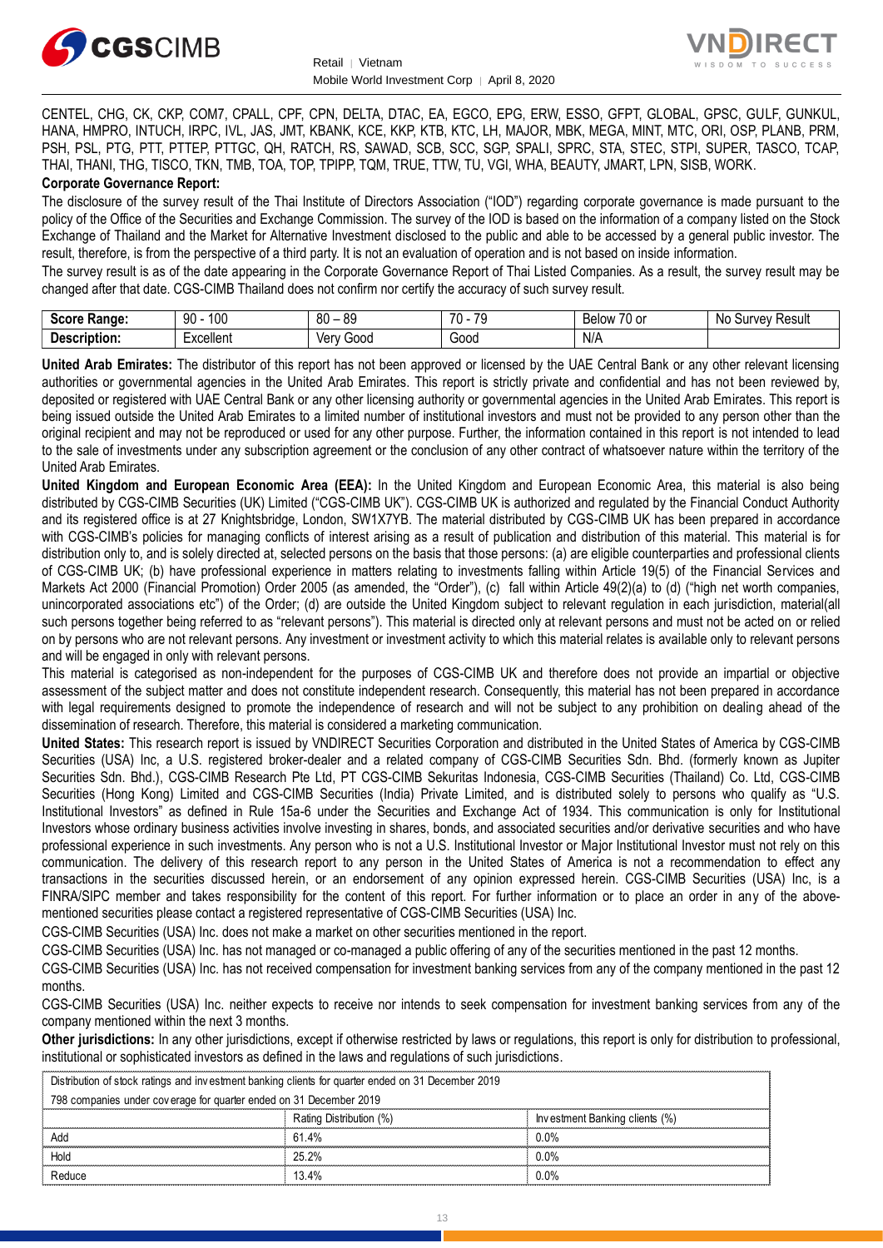



CENTEL, CHG, CK, CKP, COM7, CPALL, CPF, CPN, DELTA, DTAC, EA, EGCO, EPG, ERW, ESSO, GFPT, GLOBAL, GPSC, GULF, GUNKUL, HANA, HMPRO, INTUCH, IRPC, IVL, JAS, JMT, KBANK, KCE, KKP, KTB, KTC, LH, MAJOR, MBK, MEGA, MINT, MTC, ORI, OSP, PLANB, PRM, PSH, PSL, PTG, PTT, PTTEP, PTTGC, QH, RATCH, RS, SAWAD, SCB, SCC, SGP, SPALI, SPRC, STA, STEC, STPI, SUPER, TASCO, TCAP, THAI, THANI, THG, TISCO, TKN, TMB, TOA, TOP, TPIPP, TQM, TRUE, TTW, TU, VGI, WHA, BEAUTY, JMART, LPN, SISB, WORK.

#### **Corporate Governance Report:**

The disclosure of the survey result of the Thai Institute of Directors Association ("IOD") regarding corporate governance is made pursuant to the policy of the Office of the Securities and Exchange Commission. The survey of the IOD is based on the information of a company listed on the Stock Exchange of Thailand and the Market for Alternative Investment disclosed to the public and able to be accessed by a general public investor. The result, therefore, is from the perspective of a third party. It is not an evaluation of operation and is not based on inside information.

The survey result is as of the date appearing in the Corporate Governance Report of Thai Listed Companies. As a result, the survey result may be changed after that date. CGS-CIMB Thailand does not confirm nor certify the accuracy of such survey result.

| <b>Score</b><br>Range: | 100<br>90<br>טע | $\circ$<br>ЯC<br>οu<br>ັບ | $\overline{\phantom{a}}$<br>$\overline{\phantom{a}}$<br>.,<br>- 11 | $\overline{\phantom{a}}$<br><b>KAIOW</b><br>′∪ or<br>יטוסט | .No<br>Result<br>۱۱۳۱/۵۱/ |
|------------------------|-----------------|---------------------------|--------------------------------------------------------------------|------------------------------------------------------------|---------------------------|
| -<br>Description:      | xcellent        | 500C<br>∨en               | :nnr<br>uuu                                                        | N/A<br>$\sim$                                              |                           |

**United Arab Emirates:** The distributor of this report has not been approved or licensed by the UAE Central Bank or any other relevant licensing authorities or governmental agencies in the United Arab Emirates. This report is strictly private and confidential and has not been reviewed by, deposited or registered with UAE Central Bank or any other licensing authority or governmental agencies in the United Arab Emirates. This report is being issued outside the United Arab Emirates to a limited number of institutional investors and must not be provided to any person other than the original recipient and may not be reproduced or used for any other purpose. Further, the information contained in this report is not intended to lead to the sale of investments under any subscription agreement or the conclusion of any other contract of whatsoever nature within the territory of the United Arab Emirates.

**United Kingdom and European Economic Area (EEA):** In the United Kingdom and European Economic Area, this material is also being distributed by CGS-CIMB Securities (UK) Limited ("CGS-CIMB UK"). CGS-CIMB UK is authorized and regulated by the Financial Conduct Authority and its registered office is at 27 Knightsbridge, London, SW1X7YB. The material distributed by CGS-CIMB UK has been prepared in accordance with CGS-CIMB's policies for managing conflicts of interest arising as a result of publication and distribution of this material. This material is for distribution only to, and is solely directed at, selected persons on the basis that those persons: (a) are eligible counterparties and professional clients of CGS-CIMB UK; (b) have professional experience in matters relating to investments falling within Article 19(5) of the Financial Services and Markets Act 2000 (Financial Promotion) Order 2005 (as amended, the "Order"), (c) fall within Article 49(2)(a) to (d) ("high net worth companies, unincorporated associations etc") of the Order; (d) are outside the United Kingdom subject to relevant regulation in each jurisdiction, material(all such persons together being referred to as "relevant persons"). This material is directed only at relevant persons and must not be acted on or relied on by persons who are not relevant persons. Any investment or investment activity to which this material relates is available only to relevant persons and will be engaged in only with relevant persons.

This material is categorised as non-independent for the purposes of CGS-CIMB UK and therefore does not provide an impartial or objective assessment of the subject matter and does not constitute independent research. Consequently, this material has not been prepared in accordance with legal requirements designed to promote the independence of research and will not be subject to any prohibition on dealing ahead of the dissemination of research. Therefore, this material is considered a marketing communication.

**United States:** This research report is issued by VNDIRECT Securities Corporation and distributed in the United States of America by CGS-CIMB Securities (USA) Inc, a U.S. registered broker-dealer and a related company of CGS-CIMB Securities Sdn. Bhd. (formerly known as Jupiter Securities Sdn. Bhd.), CGS-CIMB Research Pte Ltd, PT CGS-CIMB Sekuritas Indonesia, CGS-CIMB Securities (Thailand) Co. Ltd, CGS-CIMB Securities (Hong Kong) Limited and CGS-CIMB Securities (India) Private Limited, and is distributed solely to persons who qualify as "U.S. Institutional Investors" as defined in Rule 15a-6 under the Securities and Exchange Act of 1934. This communication is only for Institutional Investors whose ordinary business activities involve investing in shares, bonds, and associated securities and/or derivative securities and who have professional experience in such investments. Any person who is not a U.S. Institutional Investor or Major Institutional Investor must not rely on this communication. The delivery of this research report to any person in the United States of America is not a recommendation to effect any transactions in the securities discussed herein, or an endorsement of any opinion expressed herein. CGS-CIMB Securities (USA) Inc, is a FINRA/SIPC member and takes responsibility for the content of this report. For further information or to place an order in any of the abovementioned securities please contact a registered representative of CGS-CIMB Securities (USA) Inc.

CGS-CIMB Securities (USA) Inc. does not make a market on other securities mentioned in the report.

CGS-CIMB Securities (USA) Inc. has not managed or co-managed a public offering of any of the securities mentioned in the past 12 months.

CGS-CIMB Securities (USA) Inc. has not received compensation for investment banking services from any of the company mentioned in the past 12 months.

CGS-CIMB Securities (USA) Inc. neither expects to receive nor intends to seek compensation for investment banking services from any of the company mentioned within the next 3 months.

**Other jurisdictions:** In any other jurisdictions, except if otherwise restricted by laws or regulations, this report is only for distribution to professional, institutional or sophisticated investors as defined in the laws and regulations of such jurisdictions. beyonds the **purisdictions:** In any other jurisdictions, except if otherwise restricted by laws<br>stitutional or sophisticated investors as defined in the laws and regulations of such j<br>Distribution of stock ratings and inve

| <b>Other jurisdictions:</b> In any other jurisdictions, except if otherwise restricted by laws or regulations, this report is only for distribution to<br>institutional or sophisticated investors as defined in the laws and regulations of such jurisdictions. |                         |                                |  |  |
|------------------------------------------------------------------------------------------------------------------------------------------------------------------------------------------------------------------------------------------------------------------|-------------------------|--------------------------------|--|--|
| Distribution of stock ratings and investment banking clients for quarter ended on 31 December 2019                                                                                                                                                               |                         |                                |  |  |
| 798 companies under coverage for quarter ended on 31 December 2019                                                                                                                                                                                               |                         |                                |  |  |
|                                                                                                                                                                                                                                                                  | Rating Distribution (%) | Investment Banking clients (%) |  |  |
| Add                                                                                                                                                                                                                                                              | 61 4%                   | 0.0%                           |  |  |
| Hold                                                                                                                                                                                                                                                             | 25.2%                   | $0.0\%$                        |  |  |
| Reduce                                                                                                                                                                                                                                                           | $13.4\%$                | $0.0\%$                        |  |  |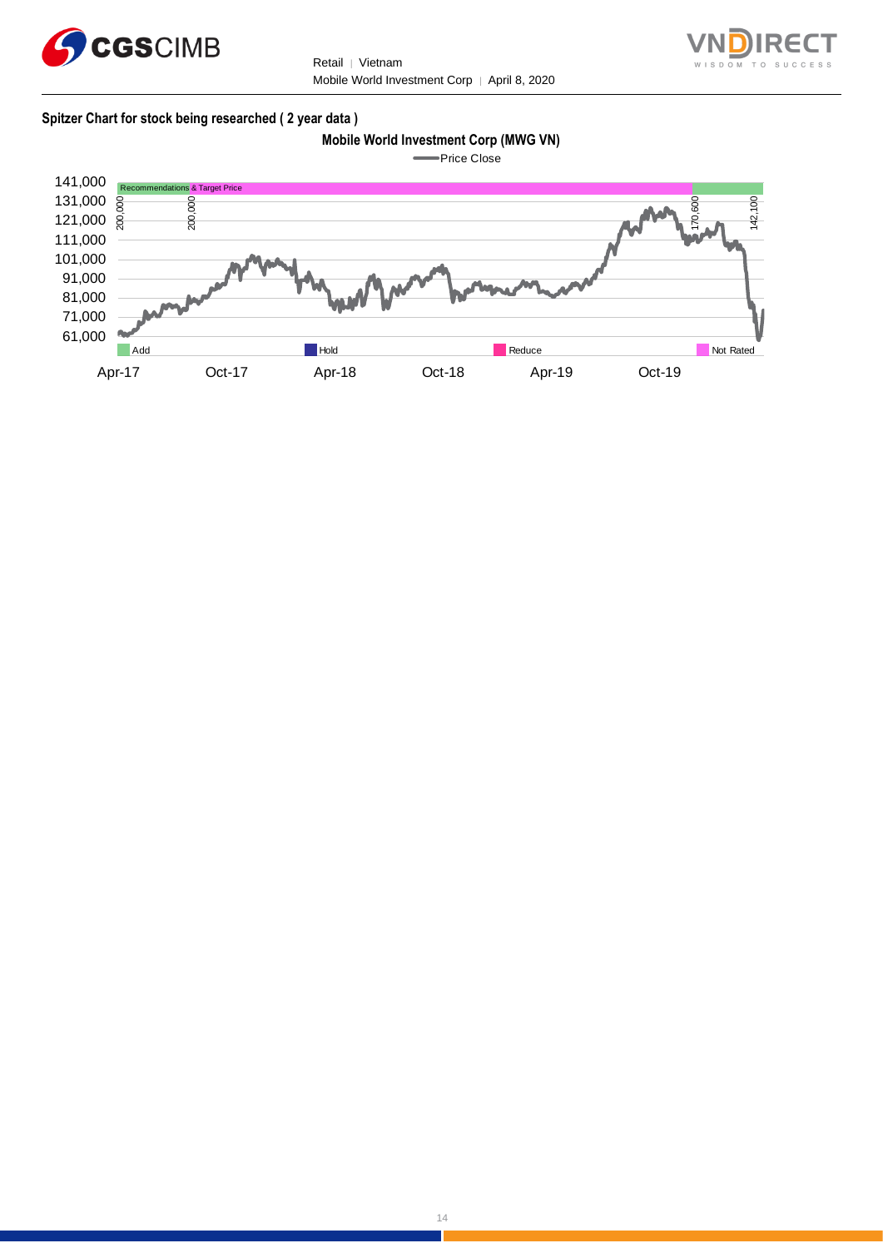



#### **Spitzer Chart for stock being researched ( 2 year data )**

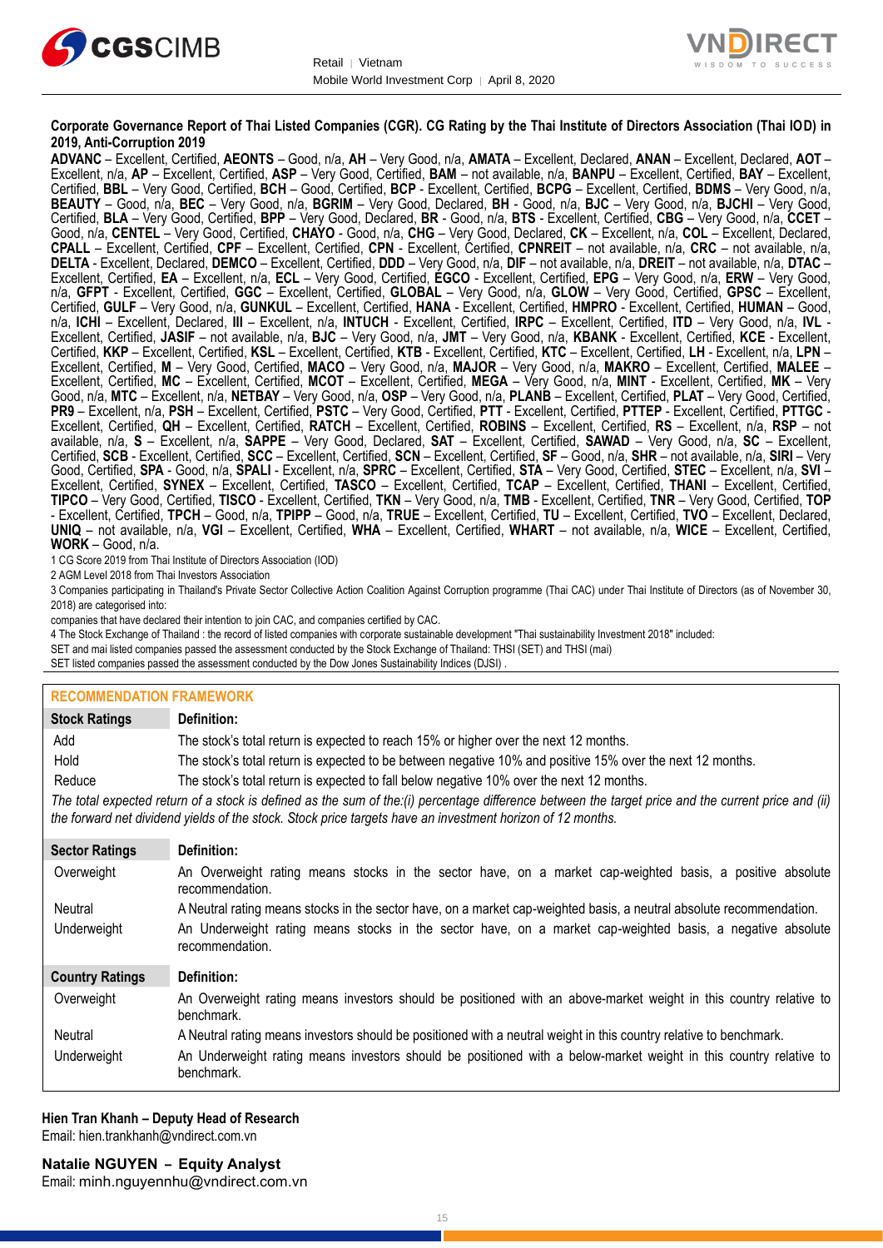



#### **Corporate Governance Report of Thai Listed Companies (CGR). CG Rating by the Thai Institute of Directors Association (Thai IOD) in 2019, Anti-Corruption 2019**

**ADVANC** – Excellent, Certified, **AEONTS** – Good, n/a, **AH** – Very Good, n/a, **AMATA** – Excellent, Declared, **ANAN** – Excellent, Declared, **AOT** – Excellent, n/a, **AP** – Excellent, Certified, **ASP** – Very Good, Certified, **BAM** – not available, n/a, **BANPU** – Excellent, Certified, **BAY** – Excellent, Certified, **BBL** – Very Good, Certified, **BCH** – Good, Certified, **BCP** - Excellent, Certified, **BCPG** – Excellent, Certified, **BDMS** – Very Good, n/a, **BEAUTY** – Good, n/a, **BEC** – Very Good, n/a, **BGRIM** – Very Good, Declared, **BH** - Good, n/a, **BJC** – Very Good, n/a, **BJCHI** – Very Good, Certified, **BLA** – Very Good, Certified, **BPP** – Very Good, Declared, **BR** - Good, n/a, **BTS** - Excellent, Certified, **CBG** – Very Good, n/a, **CCET** – Good, n/a, **CENTEL** – Very Good, Certified, **CHAYO** - Good, n/a, **CHG** – Very Good, Declared, **CK** – Excellent, n/a, **COL** – Excellent, Declared, **CPALL** – Excellent, Certified, **CPF** – Excellent, Certified, **CPN** - Excellent, Certified, **CPNREIT** – not available, n/a, **CRC** – not available, n/a, **DELTA** - Excellent, Declared, **DEMCO** – Excellent, Certified, **DDD** – Very Good, n/a, **DIF** – not available, n/a, **DREIT** – not available, n/a, **DTAC** – Excellent, Certified, **EA** – Excellent, n/a, **ECL** – Very Good, Certified, **EGCO** - Excellent, Certified, **EPG** – Very Good, n/a, **ERW** – Very Good, n/a, **GFPT** - Excellent, Certified, **GGC** – Excellent, Certified, **GLOBAL** – Very Good, n/a, **GLOW** – Very Good, Certified, **GPSC** – Excellent, Certified, **GULF** – Very Good, n/a, **GUNKUL** – Excellent, Certified, **HANA** - Excellent, Certified, **HMPRO** - Excellent, Certified, **HUMAN** – Good, n/a, **ICHI** – Excellent, Declared, **III** – Excellent, n/a, **INTUCH** - Excellent, Certified, **IRPC** – Excellent, Certified, **ITD** – Very Good, n/a, **IVL** - Excellent, Certified, **JASIF** – not available, n/a, **BJC** – Very Good, n/a, **JMT** – Very Good, n/a, **KBANK** - Excellent, Certified, **KCE** - Excellent, Certified, **KKP** – Excellent, Certified, **KSL** – Excellent, Certified, **KTB** - Excellent, Certified, **KTC** – Excellent, Certified, **LH** - Excellent, n/a, **LPN** – Excellent, Certified, **M** – Very Good, Certified, **MACO** – Very Good, n/a, **MAJOR** – Very Good, n/a, **MAKRO** – Excellent, Certified, **MALEE** – Excellent, Certified, **MC** – Excellent, Certified, **MCOT** – Excellent, Certified, **MEGA** – Very Good, n/a, **MINT** - Excellent, Certified, **MK** – Very Good, n/a, **MTC** – Excellent, n/a, **NETBAY** – Very Good, n/a, **OSP** – Very Good, n/a, **PLANB** – Excellent, Certified, **PLAT** – Very Good, Certified, **PR9** – Excellent, n/a, **PSH** – Excellent, Certified, **PSTC** – Very Good, Certified, **PTT** - Excellent, Certified, **PTTEP** - Excellent, Certified, **PTTGC** - Excellent, Certified, **QH** – Excellent, Certified, **RATCH** – Excellent, Certified, **ROBINS** – Excellent, Certified, **RS** – Excellent, n/a, **RSP** – not available, n/a, **S** – Excellent, n/a, **SAPPE** – Very Good, Declared, **SAT** – Excellent, Certified, **SAWAD** – Very Good, n/a, **SC** – Excellent, Certified, **SCB** - Excellent, Certified, **SCC** – Excellent, Certified, **SCN** – Excellent, Certified, **SF** – Good, n/a, **SHR** – not available, n/a, **SIRI** – Very Good, Certified, **SPA** - Good, n/a, **SPALI** - Excellent, n/a, **SPRC** – Excellent, Certified, **STA** – Very Good, Certified, **STEC** – Excellent, n/a, **SVI** – Excellent, Certified, **SYNEX** – Excellent, Certified, **TASCO** – Excellent, Certified, **TCAP** – Excellent, Certified, **THANI** – Excellent, Certified, **TIPCO** – Very Good, Certified, **TISCO** - Excellent, Certified, **TKN** – Very Good, n/a, **TMB** - Excellent, Certified, **TNR** – Very Good, Certified, **TOP** - Excellent, Certified, **TPCH** – Good, n/a, **TPIPP** – Good, n/a, **TRUE** – Excellent, Certified, **TU** – Excellent, Certified, **TVO** – Excellent, Declared, **UNIQ** – not available, n/a, **VGI** – Excellent, Certified, **WHA** – Excellent, Certified, **WHART** – not available, n/a, **WICE** – Excellent, Certified, **WORK** – Good, n/a.

1 CG Score 2019 from Thai Institute of Directors Association (IOD)

2 AGM Level 2018 from Thai Investors Association

3 Companies participating in Thailand's Private Sector Collective Action Coalition Against Corruption programme (Thai CAC) under Thai Institute of Directors (as of November 30, 2018) are categorised into:

companies that have declared their intention to join CAC, and companies certified by CAC.

4 [The Stock Exchange of Thailand : the record of listed companies with corporate sustainable development "Thai sustainability Investment 2018" included:](http://www.set.or.th/sustainable_dev/en/sr/sri/tsi_p1.html)

SET and mai listed companies passed the assessment conducted by the Stock Exchange of Thailand: THSI (SET) and THSI (mai)

SET listed companies passed the assessment conducted by the Dow Jones Sustainability Indices (DJSI)

#### **RECOMMENDATION FRAMEWORK**

| <b>Stock Ratings</b>   | Definition:                                                                                                                                                                                                                                                       |
|------------------------|-------------------------------------------------------------------------------------------------------------------------------------------------------------------------------------------------------------------------------------------------------------------|
| Add                    | The stock's total return is expected to reach 15% or higher over the next 12 months.                                                                                                                                                                              |
| Hold                   | The stock's total return is expected to be between negative 10% and positive 15% over the next 12 months.                                                                                                                                                         |
| Reduce                 | The stock's total return is expected to fall below negative 10% over the next 12 months.                                                                                                                                                                          |
|                        | The total expected return of a stock is defined as the sum of the:(i) percentage difference between the target price and the current price and (ii)<br>the forward net dividend yields of the stock. Stock price targets have an investment horizon of 12 months. |
| <b>Sector Ratings</b>  | Definition:                                                                                                                                                                                                                                                       |
| Overweight             | An Overweight rating means stocks in the sector have, on a market cap-weighted basis, a positive absolute<br>recommendation.                                                                                                                                      |
| Neutral                | A Neutral rating means stocks in the sector have, on a market cap-weighted basis, a neutral absolute recommendation.                                                                                                                                              |
| Underweight            | An Underweight rating means stocks in the sector have, on a market cap-weighted basis, a negative absolute<br>recommendation.                                                                                                                                     |
| <b>Country Ratings</b> | Definition:                                                                                                                                                                                                                                                       |
| Overweight             | An Overweight rating means investors should be positioned with an above-market weight in this country relative to<br>benchmark.                                                                                                                                   |
| Neutral                | A Neutral rating means investors should be positioned with a neutral weight in this country relative to benchmark.                                                                                                                                                |
| Underweight            | An Underweight rating means investors should be positioned with a below-market weight in this country relative to<br>benchmark.                                                                                                                                   |

#### **Hien Tran Khanh – Deputy Head of Research** Email: [hien.trankhanh@vndirect.com.vn](mailto:hien.trankhanh@vndirect.com.vn)

Email: [minh.nguyennhu@vndirect.com.vn](mailto:minh.nguyennhu@vndirect.com.vn)